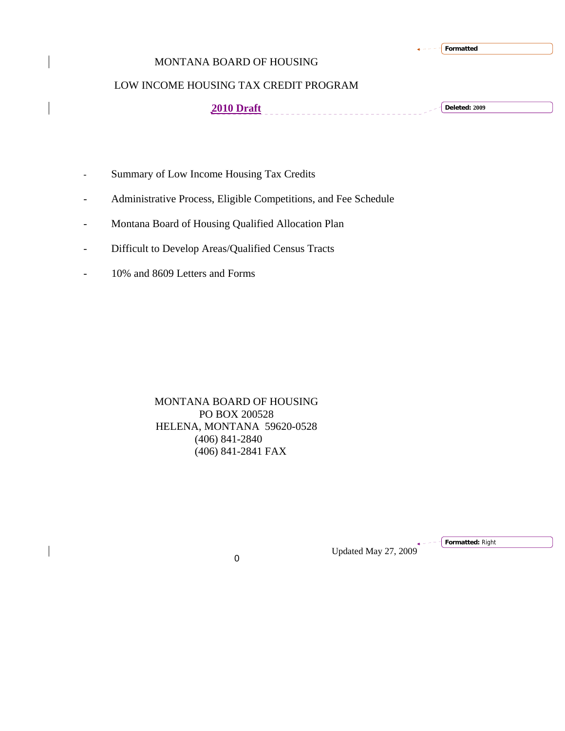|  |  |  |  | Formatted |
|--|--|--|--|-----------|
|--|--|--|--|-----------|

# MONTANA BOARD OF HOUSING

# LOW INCOME HOUSING TAX CREDIT PROGRAM

**2010 Draft Deleted: 2009**

- Summary of Low Income Housing Tax Credits
- Administrative Process, Eligible Competitions, and Fee Schedule
- Montana Board of Housing Qualified Allocation Plan
- Difficult to Develop Areas/Qualified Census Tracts
- 10% and 8609 Letters and Forms

MONTANA BOARD OF HOUSING PO BOX 200528 HELENA, MONTANA 59620-0528 (406) 841-2840 (406) 841-2841 FAX

Updated May 27, 2009 <sup>0</sup>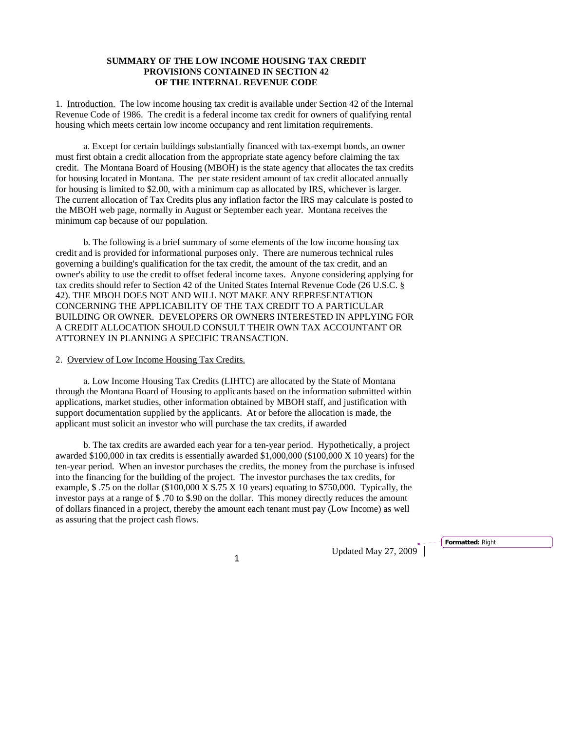# **SUMMARY OF THE LOW INCOME HOUSING TAX CREDIT PROVISIONS CONTAINED IN SECTION 42 OF THE INTERNAL REVENUE CODE**

1. Introduction. The low income housing tax credit is available under Section 42 of the Internal Revenue Code of 1986. The credit is a federal income tax credit for owners of qualifying rental housing which meets certain low income occupancy and rent limitation requirements.

a. Except for certain buildings substantially financed with tax-exempt bonds, an owner must first obtain a credit allocation from the appropriate state agency before claiming the tax credit. The Montana Board of Housing (MBOH) is the state agency that allocates the tax credits for housing located in Montana. The per state resident amount of tax credit allocated annually for housing is limited to \$2.00, with a minimum cap as allocated by IRS, whichever is larger. The current allocation of Tax Credits plus any inflation factor the IRS may calculate is posted to the MBOH web page, normally in August or September each year. Montana receives the minimum cap because of our population.

b. The following is a brief summary of some elements of the low income housing tax credit and is provided for informational purposes only. There are numerous technical rules governing a building's qualification for the tax credit, the amount of the tax credit, and an owner's ability to use the credit to offset federal income taxes. Anyone considering applying for tax credits should refer to Section 42 of the United States Internal Revenue Code (26 U.S.C. § 42). THE MBOH DOES NOT AND WILL NOT MAKE ANY REPRESENTATION CONCERNING THE APPLICABILITY OF THE TAX CREDIT TO A PARTICULAR BUILDING OR OWNER. DEVELOPERS OR OWNERS INTERESTED IN APPLYING FOR A CREDIT ALLOCATION SHOULD CONSULT THEIR OWN TAX ACCOUNTANT OR ATTORNEY IN PLANNING A SPECIFIC TRANSACTION.

## 2. Overview of Low Income Housing Tax Credits.

a. Low Income Housing Tax Credits (LIHTC) are allocated by the State of Montana through the Montana Board of Housing to applicants based on the information submitted within applications, market studies, other information obtained by MBOH staff, and justification with support documentation supplied by the applicants. At or before the allocation is made, the applicant must solicit an investor who will purchase the tax credits, if awarded

b. The tax credits are awarded each year for a ten-year period. Hypothetically, a project awarded \$100,000 in tax credits is essentially awarded \$1,000,000 (\$100,000 X 10 years) for the ten-year period. When an investor purchases the credits, the money from the purchase is infused into the financing for the building of the project. The investor purchases the tax credits, for example, \$ .75 on the dollar (\$100,000 X \$.75 X 10 years) equating to \$750,000. Typically, the investor pays at a range of \$ .70 to \$.90 on the dollar. This money directly reduces the amount of dollars financed in a project, thereby the amount each tenant must pay (Low Income) as well as assuring that the project cash flows.

1 Updated May 27, 2009<sup>+</sup>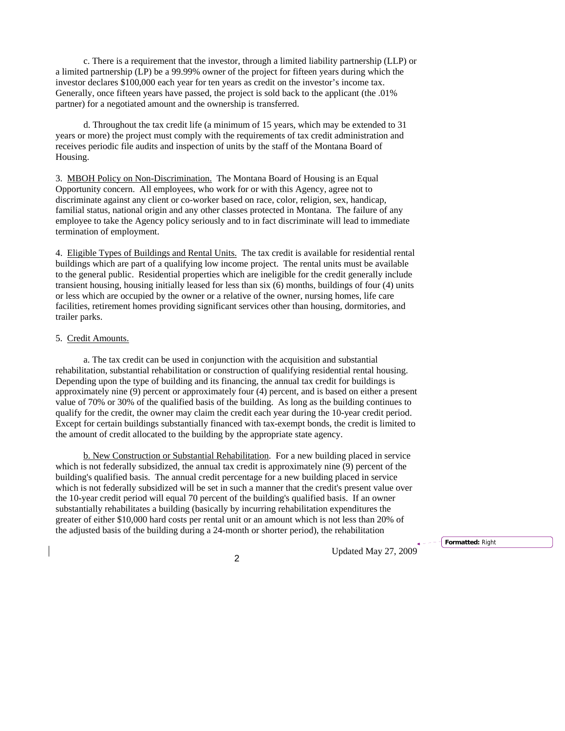c. There is a requirement that the investor, through a limited liability partnership (LLP) or a limited partnership (LP) be a 99.99% owner of the project for fifteen years during which the investor declares \$100,000 each year for ten years as credit on the investor's income tax. Generally, once fifteen years have passed, the project is sold back to the applicant (the .01% partner) for a negotiated amount and the ownership is transferred.

 d. Throughout the tax credit life (a minimum of 15 years, which may be extended to 31 years or more) the project must comply with the requirements of tax credit administration and receives periodic file audits and inspection of units by the staff of the Montana Board of Housing.

3. MBOH Policy on Non-Discrimination. The Montana Board of Housing is an Equal Opportunity concern. All employees, who work for or with this Agency, agree not to discriminate against any client or co-worker based on race, color, religion, sex, handicap, familial status, national origin and any other classes protected in Montana. The failure of any employee to take the Agency policy seriously and to in fact discriminate will lead to immediate termination of employment.

4. Eligible Types of Buildings and Rental Units.The tax credit is available for residential rental buildings which are part of a qualifying low income project. The rental units must be available to the general public. Residential properties which are ineligible for the credit generally include transient housing, housing initially leased for less than six (6) months, buildings of four (4) units or less which are occupied by the owner or a relative of the owner, nursing homes, life care facilities, retirement homes providing significant services other than housing, dormitories, and trailer parks.

#### 5. Credit Amounts.

a. The tax credit can be used in conjunction with the acquisition and substantial rehabilitation, substantial rehabilitation or construction of qualifying residential rental housing. Depending upon the type of building and its financing, the annual tax credit for buildings is approximately nine (9) percent or approximately four (4) percent, and is based on either a present value of 70% or 30% of the qualified basis of the building. As long as the building continues to qualify for the credit, the owner may claim the credit each year during the 10-year credit period. Except for certain buildings substantially financed with tax-exempt bonds, the credit is limited to the amount of credit allocated to the building by the appropriate state agency.

b. New Construction or Substantial Rehabilitation. For a new building placed in service which is not federally subsidized, the annual tax credit is approximately nine (9) percent of the building's qualified basis. The annual credit percentage for a new building placed in service which is not federally subsidized will be set in such a manner that the credit's present value over the 10-year credit period will equal 70 percent of the building's qualified basis. If an owner substantially rehabilitates a building (basically by incurring rehabilitation expenditures the greater of either \$10,000 hard costs per rental unit or an amount which is not less than 20% of the adjusted basis of the building during a 24-month or shorter period), the rehabilitation

Updated May 27, 2009 <sup>2</sup>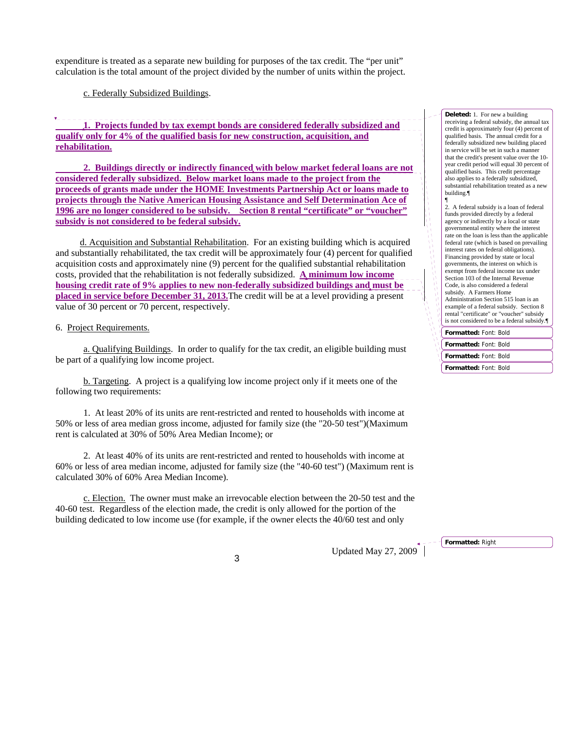expenditure is treated as a separate new building for purposes of the tax credit. The "per unit" calculation is the total amount of the project divided by the number of units within the project.

c. Federally Subsidized Buildings.

**1. Projects funded by tax exempt bonds are considered federally subsidized and qualify only for 4% of the qualified basis for new construction, acquisition, and rehabilitation.**

 **2. Buildings directly or indirectly financed with below market federal loans are not considered federally subsidized. Below market loans made to the project from the proceeds of grants made under the HOME Investments Partnership Act or loans made to projects through the Native American Housing Assistance and Self Determination Ace of 1996 are no longer considered to be subsidy. Section 8 rental "certificate" or "voucher" subsidy is not considered to be federal subsidy.**

d. Acquisition and Substantial Rehabilitation. For an existing building which is acquired and substantially rehabilitated, the tax credit will be approximately four (4) percent for qualified acquisition costs and approximately nine (9) percent for the qualified substantial rehabilitation costs, provided that the rehabilitation is not federally subsidized. **A minimum low income housing credit rate of 9% applies to new non-federally subsidized buildings and must be placed in service before December 31, 2013.**The credit will be at a level providing a present value of 30 percent or 70 percent, respectively.

6. Project Requirements.

a. Qualifying Buildings. In order to qualify for the tax credit, an eligible building must be part of a qualifying low income project.

b. Targeting. A project is a qualifying low income project only if it meets one of the following two requirements:

1. At least 20% of its units are rent-restricted and rented to households with income at 50% or less of area median gross income, adjusted for family size (the "20-50 test")(Maximum rent is calculated at 30% of 50% Area Median Income); or

2. At least 40% of its units are rent-restricted and rented to households with income at 60% or less of area median income, adjusted for family size (the "40-60 test") (Maximum rent is calculated 30% of 60% Area Median Income).

c. Election. The owner must make an irrevocable election between the 20-50 test and the 40-60 test. Regardless of the election made, the credit is only allowed for the portion of the building dedicated to low income use (for example, if the owner elects the 40/60 test and only

Updated May 27, 2009 <sup>3</sup>

**Deleted:** 1. For new a building receiving a federal subsidy, the annual tax credit is approximately four (4) percent of qualified basis. The annual credit for a federally subsidized new building placed in service will be set in such a manner that the credit's present value over the 10 year credit period will equal 30 percent of qualified basis. This credit percentage also applies to a federally subsidized, substantial rehabilitation treated as a new building.¶

**Formatted:** Font: Bold ¶ 2. A federal subsidy is a loan of federal funds provided directly by a federal agency or indirectly by a local or state governmental entity where the interest rate on the loan is less than the applicable federal rate (which is based on prevailing interest rates on federal obligations). Financing provided by state or local governments, the interest on which is exempt from federal income tax under Section 103 of the Internal Revenue Code, is also considered a federal subsidy. A Farmers Home Administration Section 515 loan is an example of a federal subsidy. Section 8 rental "certificate" or "voucher" subsidy is not considered to be a federal subsidy.¶

**Formatted:** Font: Bold **Formatted:** Font: Bold **Formatted:** Font: Bold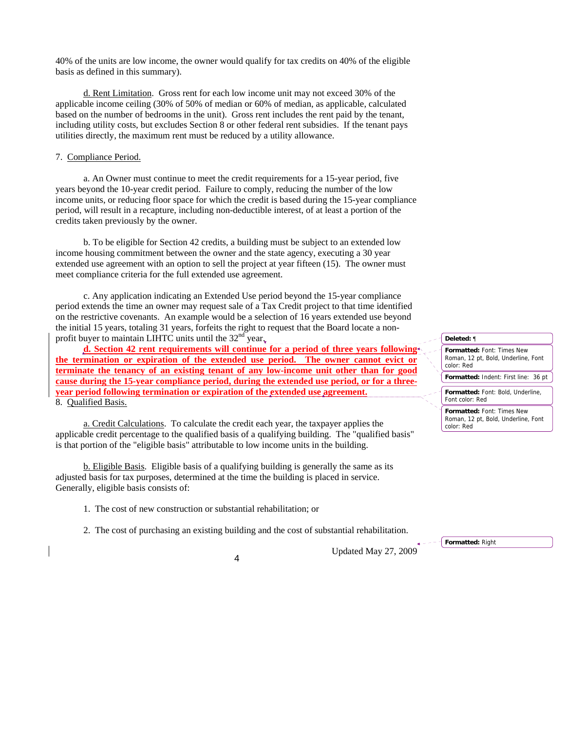40% of the units are low income, the owner would qualify for tax credits on 40% of the eligible basis as defined in this summary).

d. Rent Limitation. Gross rent for each low income unit may not exceed 30% of the applicable income ceiling (30% of 50% of median or 60% of median, as applicable, calculated based on the number of bedrooms in the unit). Gross rent includes the rent paid by the tenant, including utility costs, but excludes Section 8 or other federal rent subsidies. If the tenant pays utilities directly, the maximum rent must be reduced by a utility allowance.

## 7. Compliance Period.

a. An Owner must continue to meet the credit requirements for a 15-year period, five years beyond the 10-year credit period. Failure to comply, reducing the number of the low income units, or reducing floor space for which the credit is based during the 15-year compliance period, will result in a recapture, including non-deductible interest, of at least a portion of the credits taken previously by the owner.

b. To be eligible for Section 42 credits, a building must be subject to an extended low income housing commitment between the owner and the state agency, executing a 30 year extended use agreement with an option to sell the project at year fifteen (15). The owner must meet compliance criteria for the full extended use agreement.

c. Any application indicating an Extended Use period beyond the 15-year compliance period extends the time an owner may request sale of a Tax Credit project to that time identified on the restrictive covenants. An example would be a selection of 16 years extended use beyond the initial 15 years, totaling 31 years, forfeits the right to request that the Board locate a nonprofit buyer to maintain LIHTC units until the  $32<sup>nd</sup>$  year.

**d. Section 42 rent requirements will continue for a period of three years following the termination or expiration of the extended use period. The owner cannot evict or terminate the tenancy of an existing tenant of any low-income unit other than for good cause during the 15-year compliance period, during the extended use period, or for a threeyear period following termination or expiration of the extended use agreement.**  8. Qualified Basis.

a. Credit Calculations. To calculate the credit each year, the taxpayer applies the applicable credit percentage to the qualified basis of a qualifying building. The "qualified basis" is that portion of the "eligible basis" attributable to low income units in the building.

b. Eligible Basis. Eligible basis of a qualifying building is generally the same as its adjusted basis for tax purposes, determined at the time the building is placed in service. Generally, eligible basis consists of:

1. The cost of new construction or substantial rehabilitation; or

2. The cost of purchasing an existing building and the cost of substantial rehabilitation.

Updated May 27, 2009 <sup>4</sup>

| Deleted: ¶                                                                             |
|----------------------------------------------------------------------------------------|
| <b>Formatted: Font: Times New</b><br>Roman, 12 pt, Bold, Underline, Font<br>color: Red |
| <b>Formatted: Indent: First line: 36 pt</b>                                            |
| Formatted: Font: Bold, Underline,<br>Font color: Red                                   |
| <b>Formatted: Font: Times New</b><br>Roman, 12 pt, Bold, Underline, Font<br>color: Red |

**Formatted:** Right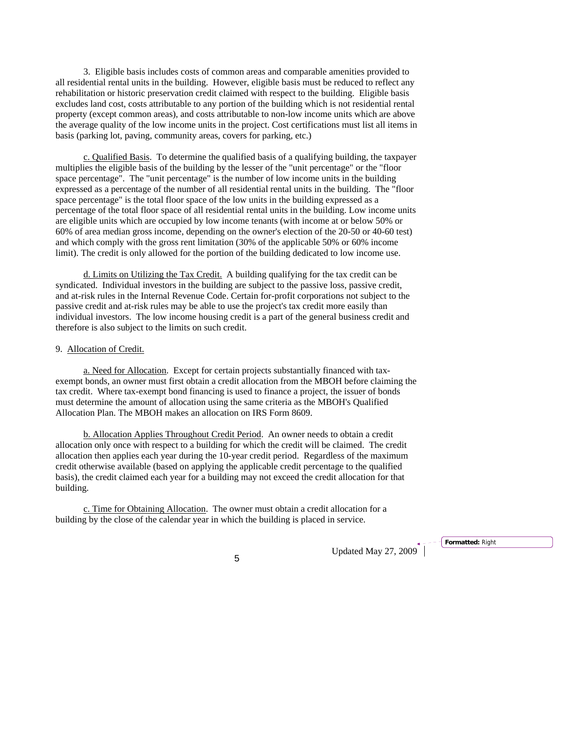3. Eligible basis includes costs of common areas and comparable amenities provided to all residential rental units in the building. However, eligible basis must be reduced to reflect any rehabilitation or historic preservation credit claimed with respect to the building. Eligible basis excludes land cost, costs attributable to any portion of the building which is not residential rental property (except common areas), and costs attributable to non-low income units which are above the average quality of the low income units in the project. Cost certifications must list all items in basis (parking lot, paving, community areas, covers for parking, etc.)

c. Qualified Basis. To determine the qualified basis of a qualifying building, the taxpayer multiplies the eligible basis of the building by the lesser of the "unit percentage" or the "floor space percentage". The "unit percentage" is the number of low income units in the building expressed as a percentage of the number of all residential rental units in the building. The "floor space percentage" is the total floor space of the low units in the building expressed as a percentage of the total floor space of all residential rental units in the building. Low income units are eligible units which are occupied by low income tenants (with income at or below 50% or 60% of area median gross income, depending on the owner's election of the 20-50 or 40-60 test) and which comply with the gross rent limitation (30% of the applicable 50% or 60% income limit). The credit is only allowed for the portion of the building dedicated to low income use.

d. Limits on Utilizing the Tax Credit. A building qualifying for the tax credit can be syndicated. Individual investors in the building are subject to the passive loss, passive credit, and at-risk rules in the Internal Revenue Code. Certain for-profit corporations not subject to the passive credit and at-risk rules may be able to use the project's tax credit more easily than individual investors. The low income housing credit is a part of the general business credit and therefore is also subject to the limits on such credit.

# 9. Allocation of Credit.

a. Need for Allocation. Except for certain projects substantially financed with taxexempt bonds, an owner must first obtain a credit allocation from the MBOH before claiming the tax credit. Where tax-exempt bond financing is used to finance a project, the issuer of bonds must determine the amount of allocation using the same criteria as the MBOH's Qualified Allocation Plan. The MBOH makes an allocation on IRS Form 8609.

b. Allocation Applies Throughout Credit Period. An owner needs to obtain a credit allocation only once with respect to a building for which the credit will be claimed. The credit allocation then applies each year during the 10-year credit period. Regardless of the maximum credit otherwise available (based on applying the applicable credit percentage to the qualified basis), the credit claimed each year for a building may not exceed the credit allocation for that building.

c. Time for Obtaining Allocation. The owner must obtain a credit allocation for a building by the close of the calendar year in which the building is placed in service.

Updated May 27, 2009 <sup>5</sup>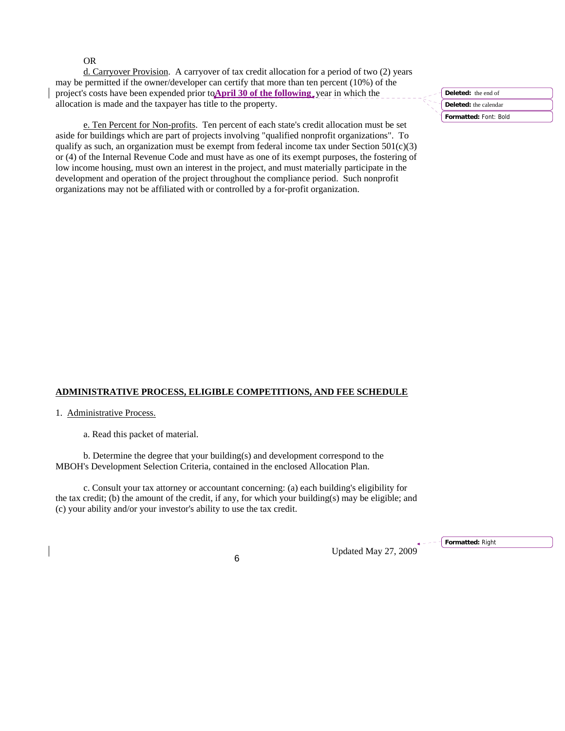OR

d. Carryover Provision. A carryover of tax credit allocation for a period of two (2) years may be permitted if the owner/developer can certify that more than ten percent (10%) of the project's costs have been expended prior to**April 30 of the following** year in which the allocation is made and the taxpayer has title to the property.

e. Ten Percent for Non-profits. Ten percent of each state's credit allocation must be set aside for buildings which are part of projects involving "qualified nonprofit organizations". To qualify as such, an organization must be exempt from federal income tax under Section  $501(c)(3)$ or (4) of the Internal Revenue Code and must have as one of its exempt purposes, the fostering of low income housing, must own an interest in the project, and must materially participate in the development and operation of the project throughout the compliance period. Such nonprofit organizations may not be affiliated with or controlled by a for-profit organization.

**Formatted:** Font: Bold **Deleted:** the end of **Deleted:** the calendar

## **ADMINISTRATIVE PROCESS, ELIGIBLE COMPETITIONS, AND FEE SCHEDULE**

1. Administrative Process.

a. Read this packet of material.

b. Determine the degree that your building(s) and development correspond to the MBOH's Development Selection Criteria, contained in the enclosed Allocation Plan.

c. Consult your tax attorney or accountant concerning: (a) each building's eligibility for the tax credit; (b) the amount of the credit, if any, for which your building(s) may be eligible; and (c) your ability and/or your investor's ability to use the tax credit.

Updated May 27, 2009 <sup>6</sup>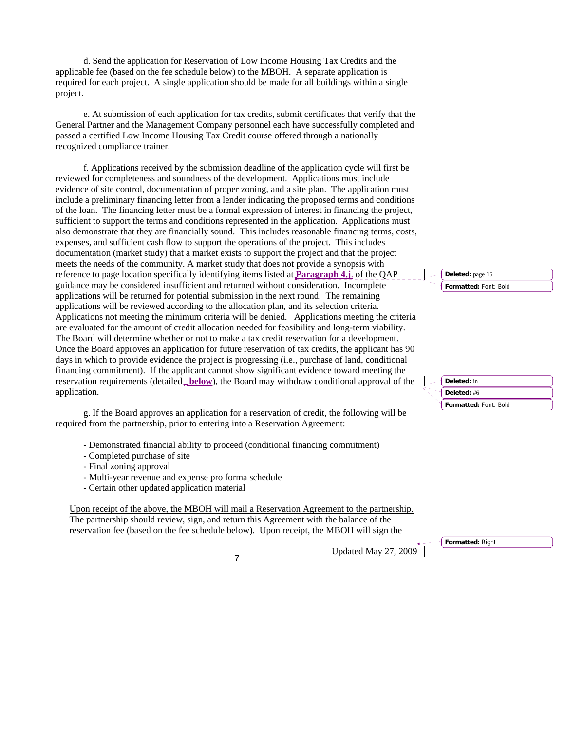d. Send the application for Reservation of Low Income Housing Tax Credits and the applicable fee (based on the fee schedule below) to the MBOH. A separate application is required for each project. A single application should be made for all buildings within a single project.

e. At submission of each application for tax credits, submit certificates that verify that the General Partner and the Management Company personnel each have successfully completed and passed a certified Low Income Housing Tax Credit course offered through a nationally recognized compliance trainer.

f. Applications received by the submission deadline of the application cycle will first be reviewed for completeness and soundness of the development. Applications must include evidence of site control, documentation of proper zoning, and a site plan. The application must include a preliminary financing letter from a lender indicating the proposed terms and conditions of the loan. The financing letter must be a formal expression of interest in financing the project, sufficient to support the terms and conditions represented in the application. Applications must also demonstrate that they are financially sound. This includes reasonable financing terms, costs, expenses, and sufficient cash flow to support the operations of the project. This includes documentation (market study) that a market exists to support the project and that the project meets the needs of the community. A market study that does not provide a synopsis with reference to page location specifically identifying items listed at **Paragraph 4.j**. of the QAP guidance may be considered insufficient and returned without consideration. Incomplete applications will be returned for potential submission in the next round. The remaining applications will be reviewed according to the allocation plan, and its selection criteria. Applications not meeting the minimum criteria will be denied. Applications meeting the criteria are evaluated for the amount of credit allocation needed for feasibility and long-term viability. The Board will determine whether or not to make a tax credit reservation for a development. Once the Board approves an application for future reservation of tax credits, the applicant has 90 days in which to provide evidence the project is progressing (i.e., purchase of land, conditional financing commitment). If the applicant cannot show significant evidence toward meeting the reservation requirements (detailed **below**), the Board may withdraw conditional approval of the application.

g. If the Board approves an application for a reservation of credit, the following will be required from the partnership, prior to entering into a Reservation Agreement:

- Demonstrated financial ability to proceed (conditional financing commitment)
- Completed purchase of site
- Final zoning approval
- Multi-year revenue and expense pro forma schedule
- Certain other updated application material

Upon receipt of the above, the MBOH will mail a Reservation Agreement to the partnership. The partnership should review, sign, and return this Agreement with the balance of the reservation fee (based on the fee schedule below). Upon receipt, the MBOH will sign the

Updated May 27, 2009<sup>\*</sup>

**Formatted:** Font: Bold **Deleted:** page 16

**Formatted:** Font: Bold **Deleted:** in **Deleted:** #6

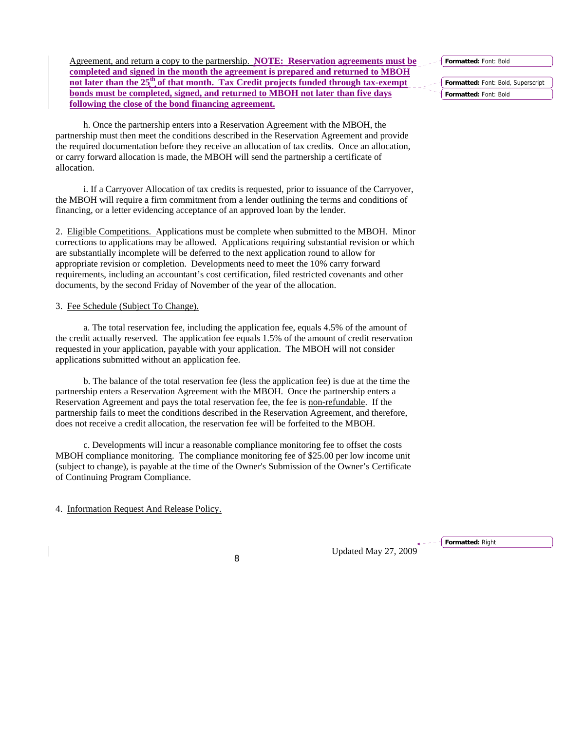**Formatted:** Font: Bold

Agreement, and return a copy to the partnership. **NOTE: Reservation agreements must be completed and signed in the month the agreement is prepared and returned to MBOH**  not later than the 25<sup>th</sup> of that month. Tax Credit projects funded through tax-exempt **bonds must be completed, signed, and returned to MBOH not later than five days following the close of the bond financing agreement.**

h. Once the partnership enters into a Reservation Agreement with the MBOH, the partnership must then meet the conditions described in the Reservation Agreement and provide the required documentation before they receive an allocation of tax credit**s**. Once an allocation, or carry forward allocation is made, the MBOH will send the partnership a certificate of allocation.

i. If a Carryover Allocation of tax credits is requested, prior to issuance of the Carryover, the MBOH will require a firm commitment from a lender outlining the terms and conditions of financing, or a letter evidencing acceptance of an approved loan by the lender.

2. Eligible Competitions.Applications must be complete when submitted to the MBOH. Minor corrections to applications may be allowed. Applications requiring substantial revision or which are substantially incomplete will be deferred to the next application round to allow for appropriate revision or completion. Developments need to meet the 10% carry forward requirements, including an accountant's cost certification, filed restricted covenants and other documents, by the second Friday of November of the year of the allocation.

#### 3. Fee Schedule (Subject To Change).

a. The total reservation fee, including the application fee, equals 4.5% of the amount of the credit actually reserved. The application fee equals 1.5% of the amount of credit reservation requested in your application, payable with your application. The MBOH will not consider applications submitted without an application fee.

b. The balance of the total reservation fee (less the application fee) is due at the time the partnership enters a Reservation Agreement with the MBOH. Once the partnership enters a Reservation Agreement and pays the total reservation fee, the fee is non-refundable. If the partnership fails to meet the conditions described in the Reservation Agreement, and therefore, does not receive a credit allocation, the reservation fee will be forfeited to the MBOH.

c. Developments will incur a reasonable compliance monitoring fee to offset the costs MBOH compliance monitoring. The compliance monitoring fee of \$25.00 per low income unit (subject to change), is payable at the time of the Owner's Submission of the Owner's Certificate of Continuing Program Compliance.

4. Information Request And Release Policy.

Updated May 27, 2009 <sup>8</sup>

**Formatted:** Right

**Formatted:** Font: Bold, Superscript **Formatted:** Font: Bold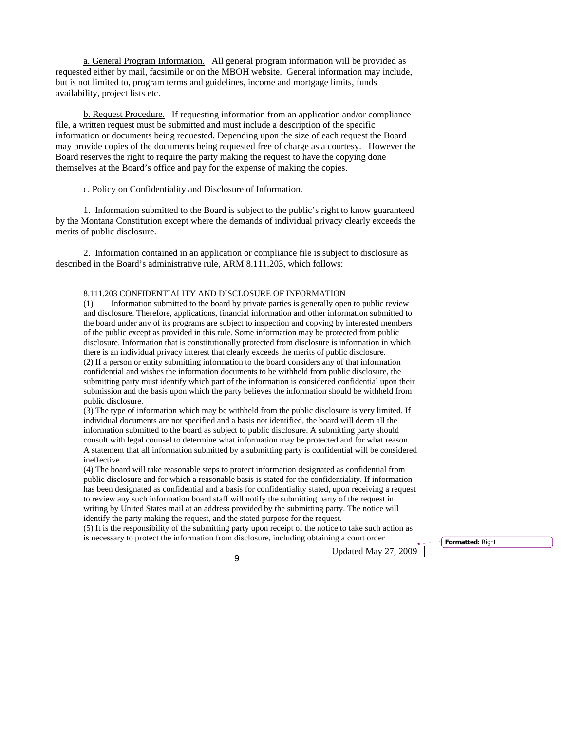a. General Program Information. All general program information will be provided as requested either by mail, facsimile or on the MBOH website. General information may include, but is not limited to, program terms and guidelines, income and mortgage limits, funds availability, project lists etc.

b. Request Procedure.If requesting information from an application and/or compliance file, a written request must be submitted and must include a description of the specific information or documents being requested. Depending upon the size of each request the Board may provide copies of the documents being requested free of charge as a courtesy. However the Board reserves the right to require the party making the request to have the copying done themselves at the Board's office and pay for the expense of making the copies.

## c. Policy on Confidentiality and Disclosure of Information.

1. Information submitted to the Board is subject to the public's right to know guaranteed by the Montana Constitution except where the demands of individual privacy clearly exceeds the merits of public disclosure.

2. Information contained in an application or compliance file is subject to disclosure as described in the Board's administrative rule, ARM 8.111.203, which follows:

#### 8.111.203 CONFIDENTIALITY AND DISCLOSURE OF INFORMATION

(1) Information submitted to the board by private parties is generally open to public review and disclosure. Therefore, applications, financial information and other information submitted to the board under any of its programs are subject to inspection and copying by interested members of the public except as provided in this rule. Some information may be protected from public disclosure. Information that is constitutionally protected from disclosure is information in which there is an individual privacy interest that clearly exceeds the merits of public disclosure. (2) If a person or entity submitting information to the board considers any of that information confidential and wishes the information documents to be withheld from public disclosure, the submitting party must identify which part of the information is considered confidential upon their submission and the basis upon which the party believes the information should be withheld from public disclosure.

(3) The type of information which may be withheld from the public disclosure is very limited. If individual documents are not specified and a basis not identified, the board will deem all the information submitted to the board as subject to public disclosure. A submitting party should consult with legal counsel to determine what information may be protected and for what reason. A statement that all information submitted by a submitting party is confidential will be considered ineffective.

(4) The board will take reasonable steps to protect information designated as confidential from public disclosure and for which a reasonable basis is stated for the confidentiality. If information has been designated as confidential and a basis for confidentiality stated, upon receiving a request to review any such information board staff will notify the submitting party of the request in writing by United States mail at an address provided by the submitting party. The notice will identify the party making the request, and the stated purpose for the request.

(5) It is the responsibility of the submitting party upon receipt of the notice to take such action as is necessary to protect the information from disclosure, including obtaining a court order

Updated May 27, 2009 <sup>9</sup>

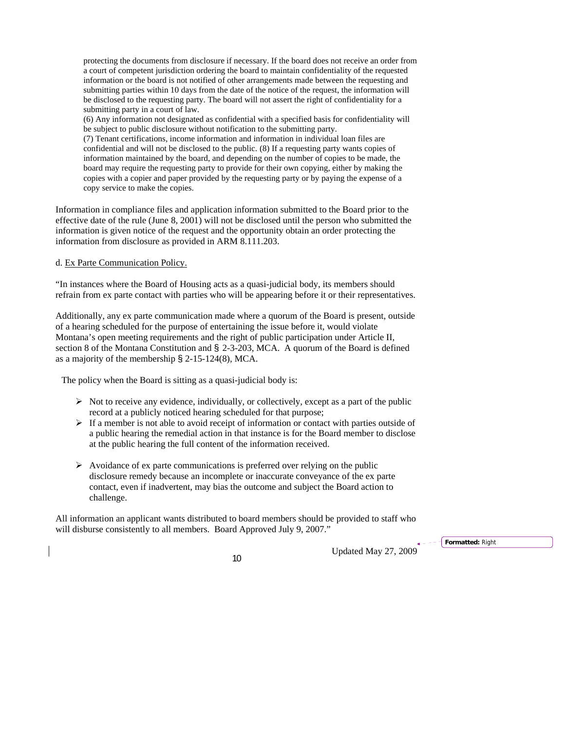protecting the documents from disclosure if necessary. If the board does not receive an order from a court of competent jurisdiction ordering the board to maintain confidentiality of the requested information or the board is not notified of other arrangements made between the requesting and submitting parties within 10 days from the date of the notice of the request, the information will be disclosed to the requesting party. The board will not assert the right of confidentiality for a submitting party in a court of law.

(6) Any information not designated as confidential with a specified basis for confidentiality will be subject to public disclosure without notification to the submitting party.

(7) Tenant certifications, income information and information in individual loan files are confidential and will not be disclosed to the public. (8) If a requesting party wants copies of information maintained by the board, and depending on the number of copies to be made, the board may require the requesting party to provide for their own copying, either by making the copies with a copier and paper provided by the requesting party or by paying the expense of a copy service to make the copies.

Information in compliance files and application information submitted to the Board prior to the effective date of the rule (June 8, 2001) will not be disclosed until the person who submitted the information is given notice of the request and the opportunity obtain an order protecting the information from disclosure as provided in ARM 8.111.203.

#### d. Ex Parte Communication Policy.

"In instances where the Board of Housing acts as a quasi-judicial body, its members should refrain from ex parte contact with parties who will be appearing before it or their representatives.

Additionally, any ex parte communication made where a quorum of the Board is present, outside of a hearing scheduled for the purpose of entertaining the issue before it, would violate Montana's open meeting requirements and the right of public participation under Article II, section 8 of the Montana Constitution and § 2-3-203, MCA. A quorum of the Board is defined as a majority of the membership § 2-15-124(8), MCA.

The policy when the Board is sitting as a quasi-judicial body is:

- $\triangleright$  Not to receive any evidence, individually, or collectively, except as a part of the public record at a publicly noticed hearing scheduled for that purpose;
- $\triangleright$  If a member is not able to avoid receipt of information or contact with parties outside of a public hearing the remedial action in that instance is for the Board member to disclose at the public hearing the full content of the information received.
- $\triangleright$  Avoidance of ex parte communications is preferred over relying on the public disclosure remedy because an incomplete or inaccurate conveyance of the ex parte contact, even if inadvertent, may bias the outcome and subject the Board action to challenge.

All information an applicant wants distributed to board members should be provided to staff who will disburse consistently to all members. Board Approved July 9, 2007."

Updated May 27, 2009 <sup>10</sup>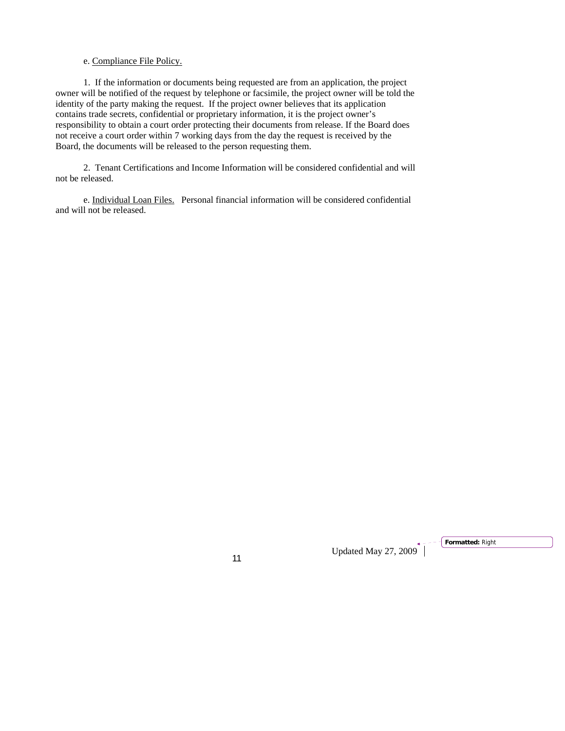# e. Compliance File Policy.

1. If the information or documents being requested are from an application, the project owner will be notified of the request by telephone or facsimile, the project owner will be told the identity of the party making the request. If the project owner believes that its application contains trade secrets, confidential or proprietary information, it is the project owner's responsibility to obtain a court order protecting their documents from release. If the Board does not receive a court order within 7 working days from the day the request is received by the Board, the documents will be released to the person requesting them.

2. Tenant Certifications and Income Information will be considered confidential and will not be released.

e. Individual Loan Files. Personal financial information will be considered confidential and will not be released.

Updated May 27, 2009<sup>1</sup>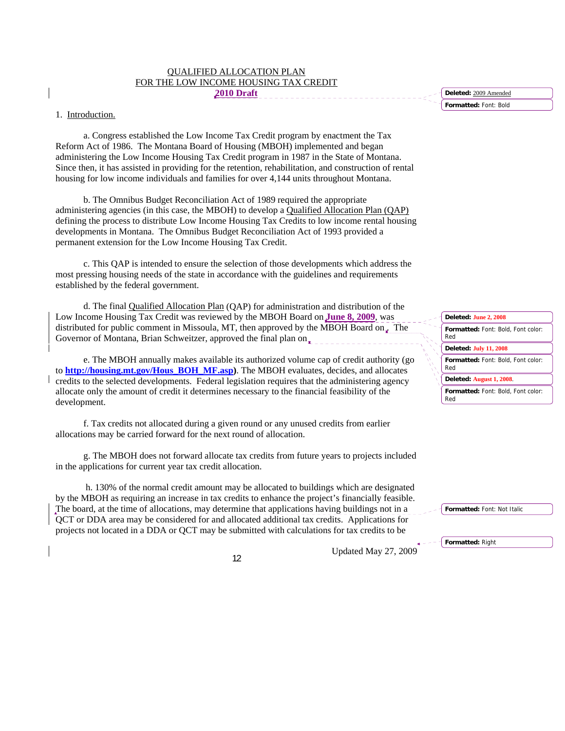| <b>OUALIFIED ALLOCATION PLAN</b>      |
|---------------------------------------|
| FOR THE LOW INCOME HOUSING TAX CREDIT |
| 2010 Draft                            |

### 1. Introduction.

a. Congress established the Low Income Tax Credit program by enactment the Tax Reform Act of 1986. The Montana Board of Housing (MBOH) implemented and began administering the Low Income Housing Tax Credit program in 1987 in the State of Montana. Since then, it has assisted in providing for the retention, rehabilitation, and construction of rental housing for low income individuals and families for over 4,144 units throughout Montana.

b. The Omnibus Budget Reconciliation Act of 1989 required the appropriate administering agencies (in this case, the MBOH) to develop a Qualified Allocation Plan (QAP) defining the process to distribute Low Income Housing Tax Credits to low income rental housing developments in Montana. The Omnibus Budget Reconciliation Act of 1993 provided a permanent extension for the Low Income Housing Tax Credit.

c. This QAP is intended to ensure the selection of those developments which address the most pressing housing needs of the state in accordance with the guidelines and requirements established by the federal government.

d. The final Qualified Allocation Plan (QAP) for administration and distribution of the Low Income Housing Tax Credit was reviewed by the MBOH Board on **June 8, 2009**, was distributed for public comment in Missoula, MT, then approved by the MBOH Board on. The Governor of Montana, Brian Schweitzer, approved the final plan on  $\mathbf{r}$ 

e. The MBOH annually makes available its authorized volume cap of credit authority (go to **[http://housing.mt](http://housing.mt/).gov/Hous\_BOH\_MF.asp)**. The MBOH evaluates, decides, and allocates credits to the selected developments. Federal legislation requires that the administering agency allocate only the amount of credit it determines necessary to the financial feasibility of the development.

f. Tax credits not allocated during a given round or any unused credits from earlier allocations may be carried forward for the next round of allocation.

g. The MBOH does not forward allocate tax credits from future years to projects included in the applications for current year tax credit allocation.

 h. 130% of the normal credit amount may be allocated to buildings which are designated by the MBOH as requiring an increase in tax credits to enhance the project's financially feasible. The board, at the time of allocations, may determine that applications having buildings not in a QCT or DDA area may be considered for and allocated additional tax credits. Applications for projects not located in a DDA or QCT may be submitted with calculations for tax credits to be

Updated May 27, 2009 <sup>12</sup>

**Formatted:** Font: Bold **Deleted:** 2009 Amended



|  | $\sim$ <b>Formatted:</b> Font: Not Italic |  |
|--|-------------------------------------------|--|
|  |                                           |  |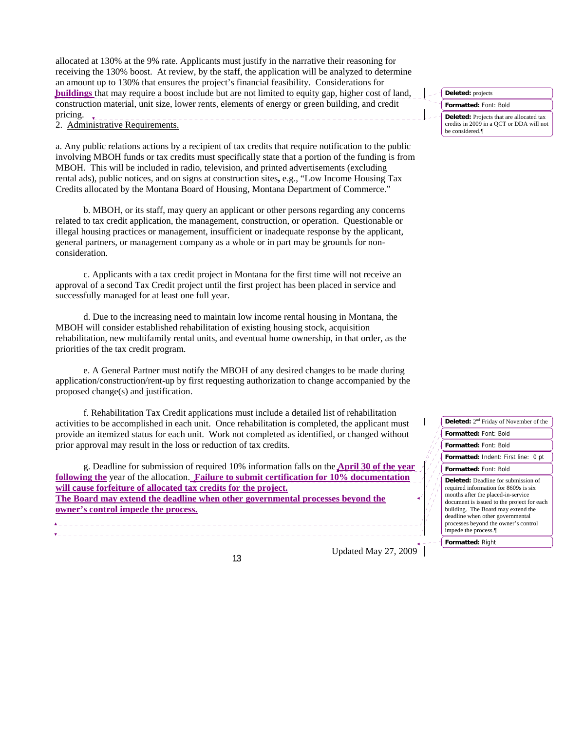allocated at 130% at the 9% rate. Applicants must justify in the narrative their reasoning for receiving the 130% boost. At review, by the staff, the application will be analyzed to determine an amount up to 130% that ensures the project's financial feasibility. Considerations for **buildings** that may require a boost include but are not limited to equity gap, higher cost of land, construction material, unit size, lower rents, elements of energy or green building, and credit pricing.

2. Administrative Requirements.

a. Any public relations actions by a recipient of tax credits that require notification to the public involving MBOH funds or tax credits must specifically state that a portion of the funding is from MBOH. This will be included in radio, television, and printed advertisements (excluding rental ads), public notices, and on signs at construction sites**,** e.g., "Low Income Housing Tax Credits allocated by the Montana Board of Housing, Montana Department of Commerce."

b. MBOH, or its staff, may query an applicant or other persons regarding any concerns related to tax credit application, the management, construction, or operation. Questionable or illegal housing practices or management, insufficient or inadequate response by the applicant, general partners, or management company as a whole or in part may be grounds for nonconsideration.

c. Applicants with a tax credit project in Montana for the first time will not receive an approval of a second Tax Credit project until the first project has been placed in service and successfully managed for at least one full year.

d. Due to the increasing need to maintain low income rental housing in Montana, the MBOH will consider established rehabilitation of existing housing stock, acquisition rehabilitation, new multifamily rental units, and eventual home ownership, in that order, as the priorities of the tax credit program.

e. A General Partner must notify the MBOH of any desired changes to be made during application/construction/rent-up by first requesting authorization to change accompanied by the proposed change(s) and justification.

f. Rehabilitation Tax Credit applications must include a detailed list of rehabilitation activities to be accomplished in each unit. Once rehabilitation is completed, the applicant must provide an itemized status for each unit. Work not completed as identified, or changed without prior approval may result in the loss or reduction of tax credits.

g. Deadline for submission of required 10% information falls on the **April 30 of the year following the** year of the allocation. **Failure to submit certification for 10% documentation will cause forfeiture of allocated tax credits for the project. The Board may extend the deadline when other governmental processes beyond the owner's control impede the process.**

Updated May 27, 2009 <sup>13</sup>



| <b>Deleted:</b> 2 <sup>nd</sup> Friday of November of the                                                                                                                                                                                                                                                        |  |  |  |  |  |
|------------------------------------------------------------------------------------------------------------------------------------------------------------------------------------------------------------------------------------------------------------------------------------------------------------------|--|--|--|--|--|
| Formatted: Font: Bold                                                                                                                                                                                                                                                                                            |  |  |  |  |  |
| <b>Formatted: Font: Bold</b>                                                                                                                                                                                                                                                                                     |  |  |  |  |  |
| Formatted: Indent: First line: 0 pt                                                                                                                                                                                                                                                                              |  |  |  |  |  |
| Formatted: Font: Bold                                                                                                                                                                                                                                                                                            |  |  |  |  |  |
| <b>Deleted:</b> Deadline for submission of<br>required information for 8609s is six<br>months after the placed-in-service<br>document is issued to the project for each<br>building. The Board may extend the<br>deadline when other governmental<br>processes beyond the owner's control<br>impede the process. |  |  |  |  |  |
| <b>Formatted: Right</b>                                                                                                                                                                                                                                                                                          |  |  |  |  |  |
|                                                                                                                                                                                                                                                                                                                  |  |  |  |  |  |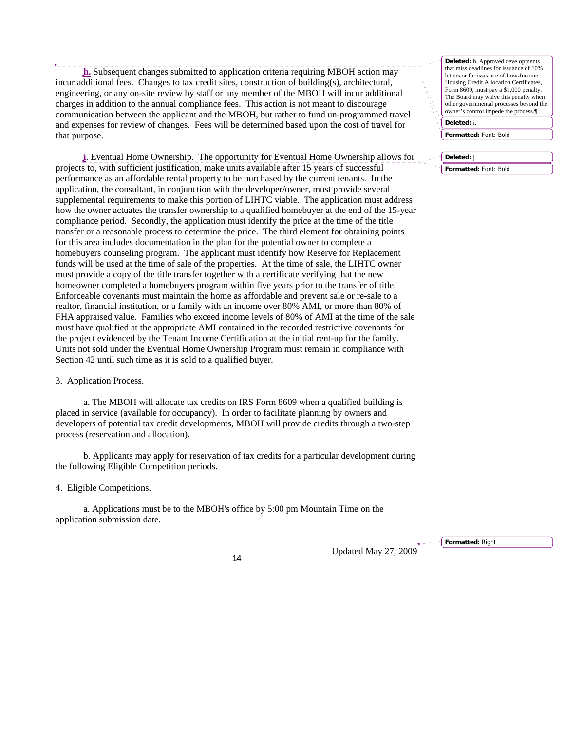**h.** Subsequent changes submitted to application criteria requiring MBOH action may incur additional fees. Changes to tax credit sites, construction of building(s), architectural, engineering, or any on-site review by staff or any member of the MBOH will incur additional charges in addition to the annual compliance fees. This action is not meant to discourage communication between the applicant and the MBOH, but rather to fund un-programmed travel and expenses for review of changes. Fees will be determined based upon the cost of travel for that purpose.

**i**. Eventual Home Ownership. The opportunity for Eventual Home Ownership allows for projects to, with sufficient justification, make units available after 15 years of successful performance as an affordable rental property to be purchased by the current tenants. In the application, the consultant, in conjunction with the developer/owner, must provide several supplemental requirements to make this portion of LIHTC viable. The application must address how the owner actuates the transfer ownership to a qualified homebuyer at the end of the 15-year compliance period. Secondly, the application must identify the price at the time of the title transfer or a reasonable process to determine the price. The third element for obtaining points for this area includes documentation in the plan for the potential owner to complete a homebuyers counseling program. The applicant must identify how Reserve for Replacement funds will be used at the time of sale of the properties. At the time of sale, the LIHTC owner must provide a copy of the title transfer together with a certificate verifying that the new homeowner completed a homebuyers program within five years prior to the transfer of title. Enforceable covenants must maintain the home as affordable and prevent sale or re-sale to a realtor, financial institution, or a family with an income over 80% AMI, or more than 80% of FHA appraised value. Families who exceed income levels of 80% of AMI at the time of the sale must have qualified at the appropriate AMI contained in the recorded restrictive covenants for the project evidenced by the Tenant Income Certification at the initial rent-up for the family. Units not sold under the Eventual Home Ownership Program must remain in compliance with Section 42 until such time as it is sold to a qualified buyer.

#### 3. Application Process.

a. The MBOH will allocate tax credits on IRS Form 8609 when a qualified building is placed in service (available for occupancy). In order to facilitate planning by owners and developers of potential tax credit developments, MBOH will provide credits through a two-step process (reservation and allocation).

b. Applicants may apply for reservation of tax credits for a particular development during the following Eligible Competition periods.

#### 4. Eligible Competitions.

a. Applications must be to the MBOH's office by 5:00 pm Mountain Time on the application submission date.

Updated May 27, 2009 <sup>14</sup>

**Deleted:** h. Approved developments that miss deadlines for issuance of 10% letters or for issuance of Low-Income Housing Credit Allocation Certificates, Form 8609, must pay a \$1,000 penalty. The Board may waive this penalty when other governmental processes beyond the owner's control impede the process.¶

**Deleted:** i.

**Formatted:** Font: Bold

**Deleted:** j

**Formatted:** Font: Bold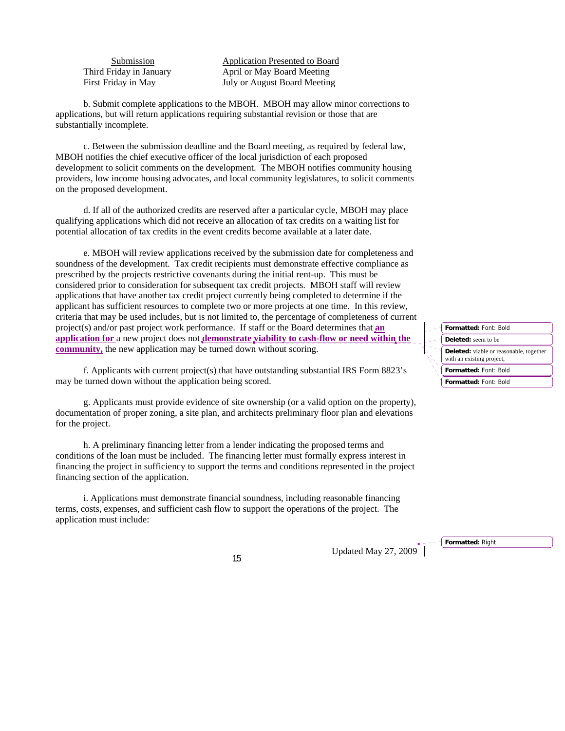Submission **Application Presented to Board**  Third Friday in January April or May Board Meeting First Friday in May **July or August Board Meeting** 

b. Submit complete applications to the MBOH. MBOH may allow minor corrections to applications, but will return applications requiring substantial revision or those that are substantially incomplete.

c. Between the submission deadline and the Board meeting, as required by federal law, MBOH notifies the chief executive officer of the local jurisdiction of each proposed development to solicit comments on the development. The MBOH notifies community housing providers, low income housing advocates, and local community legislatures, to solicit comments on the proposed development.

d. If all of the authorized credits are reserved after a particular cycle, MBOH may place qualifying applications which did not receive an allocation of tax credits on a waiting list for potential allocation of tax credits in the event credits become available at a later date.

e. MBOH will review applications received by the submission date for completeness and soundness of the development. Tax credit recipients must demonstrate effective compliance as prescribed by the projects restrictive covenants during the initial rent-up. This must be considered prior to consideration for subsequent tax credit projects. MBOH staff will review applications that have another tax credit project currently being completed to determine if the applicant has sufficient resources to complete two or more projects at one time. In this review, criteria that may be used includes, but is not limited to, the percentage of completeness of current project(s) and/or past project work performance. If staff or the Board determines that **an application for** a new project does not **demonstrate viability to cash-flow or need within the community,** the new application may be turned down without scoring.

f. Applicants with current project(s) that have outstanding substantial IRS Form 8823's may be turned down without the application being scored.

g. Applicants must provide evidence of site ownership (or a valid option on the property), documentation of proper zoning, a site plan, and architects preliminary floor plan and elevations for the project.

h. A preliminary financing letter from a lender indicating the proposed terms and conditions of the loan must be included. The financing letter must formally express interest in financing the project in sufficiency to support the terms and conditions represented in the project financing section of the application.

i. Applications must demonstrate financial soundness, including reasonable financing terms, costs, expenses, and sufficient cash flow to support the operations of the project. The application must include:

Updated May 27, 2009<sup>+</sup>

**Formatted:** Font: Bold **Formatted:** Font: Bold **Formatted:** Font: Bold **Deleted:** seem to be **Deleted:** viable or reasonable, together with an existing project,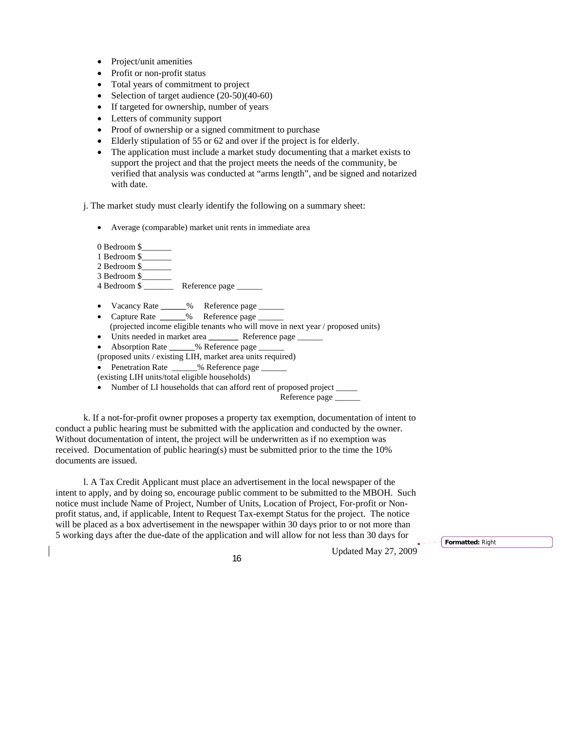- Project/unit amenities
- Profit or non-profit status
- Total years of commitment to project
- Selection of target audience  $(20-50)(40-60)$
- If targeted for ownership, number of years
- Letters of community support
- Proof of ownership or a signed commitment to purchase
- Elderly stipulation of 55 or 62 and over if the project is for elderly.
- The application must include a market study documenting that a market exists to support the project and that the project meets the needs of the community, be verified that analysis was conducted at "arms length", and be signed and notarized with date.

j. The market study must clearly identify the following on a summary sheet:

• Average (comparable) market unit rents in immediate area

0 Bedroom \$

- 1 Bedroom \$
- 2 Bedroom \$
- 3 Bedroom \$\_\_\_\_\_\_\_
- 4 Bedroom \$ \_\_\_\_\_\_\_ Reference page \_\_\_\_\_\_
- Vacancy Rate **\_\_\_\_\_\_**% Reference page \_\_\_\_\_\_
- Capture Rate **\_\_\_\_\_\_**% Reference page \_\_\_\_\_\_ (projected income eligible tenants who will move in next year / proposed units)
- Units needed in market area **Reference** page
- Absorption Rate **\_\_\_\_\_\_**% Reference page \_\_\_\_\_\_

(proposed units / existing LIH, market area units required)

- Penetration Rate  $\%$  Reference page
- (existing LIH units/total eligible households)
- Number of LI households that can afford rent of proposed project

Reference page

k. If a not-for-profit owner proposes a property tax exemption, documentation of intent to conduct a public hearing must be submitted with the application and conducted by the owner. Without documentation of intent, the project will be underwritten as if no exemption was received. Documentation of public hearing(s) must be submitted prior to the time the 10% documents are issued.

l. A Tax Credit Applicant must place an advertisement in the local newspaper of the intent to apply, and by doing so, encourage public comment to be submitted to the MBOH. Such notice must include Name of Project, Number of Units, Location of Project, For-profit or Nonprofit status, and, if applicable, Intent to Request Tax-exempt Status for the project. The notice will be placed as a box advertisement in the newspaper within 30 days prior to or not more than 5 working days after the due-date of the application and will allow for not less than 30 days for

Updated May 27, 2009 <sup>16</sup>

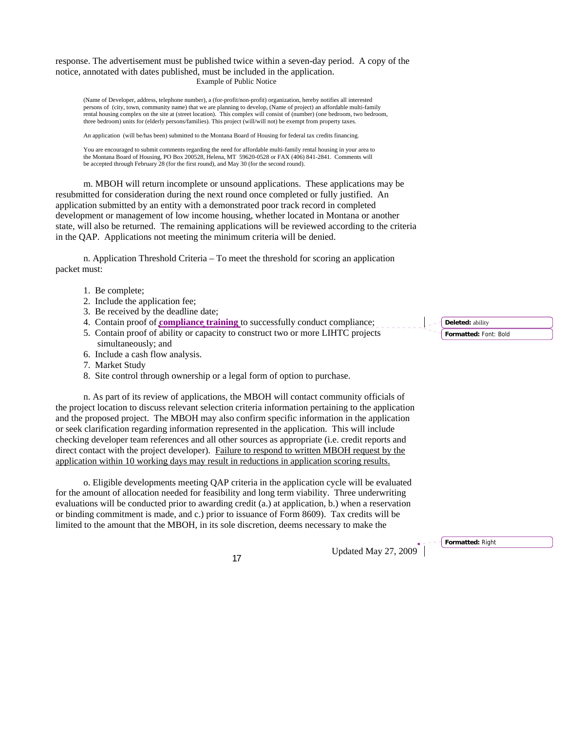response. The advertisement must be published twice within a seven-day period. A copy of the notice, annotated with dates published, must be included in the application. Example of Public Notice

(Name of Developer, address, telephone number), a (for-profit/non-profit) organization, hereby notifies all interested persons of (city, town, community name) that we are planning to develop, (Name of project) an affordable multi-family rental housing complex on the site at (street location). This complex will consist of (number) (one bedroom, two bedroom, three bedroom) units for (elderly persons/families). This project (will/will not) be exempt from property taxes.

An application (will be/has been) submitted to the Montana Board of Housing for federal tax credits financing.

You are encouraged to submit comments regarding the need for affordable multi-family rental housing in your area to the Montana Board of Housing, PO Box 200528, Helena, MT 59620-0528 or FAX (406) 841-2841. Comments will be accepted through February 28 (for the first round), and May 30 (for the second round).

m. MBOH will return incomplete or unsound applications. These applications may be resubmitted for consideration during the next round once completed or fully justified. An application submitted by an entity with a demonstrated poor track record in completed development or management of low income housing, whether located in Montana or another state, will also be returned. The remaining applications will be reviewed according to the criteria in the QAP. Applications not meeting the minimum criteria will be denied.

n. Application Threshold Criteria – To meet the threshold for scoring an application packet must:

- 1. Be complete;
- 2. Include the application fee;
- 3. Be received by the deadline date;
- 4. Contain proof of **compliance training** to successfully conduct compliance;
- 5. Contain proof of ability or capacity to construct two or more LIHTC projects simultaneously; and
- 6. Include a cash flow analysis.
- 7. Market Study
- 8. Site control through ownership or a legal form of option to purchase.

n. As part of its review of applications, the MBOH will contact community officials of the project location to discuss relevant selection criteria information pertaining to the application and the proposed project. The MBOH may also confirm specific information in the application or seek clarification regarding information represented in the application. This will include checking developer team references and all other sources as appropriate (i.e. credit reports and direct contact with the project developer). Failure to respond to written MBOH request by the application within 10 working days may result in reductions in application scoring results.

o. Eligible developments meeting QAP criteria in the application cycle will be evaluated for the amount of allocation needed for feasibility and long term viability. Three underwriting evaluations will be conducted prior to awarding credit (a.) at application, b.) when a reservation or binding commitment is made, and c.) prior to issuance of Form 8609). Tax credits will be limited to the amount that the MBOH, in its sole discretion, deems necessary to make the

Updated May 27, 2009 <sup>17</sup>

**Formatted:** Right

**Formatted:** Font: Bold **Deleted:** ability

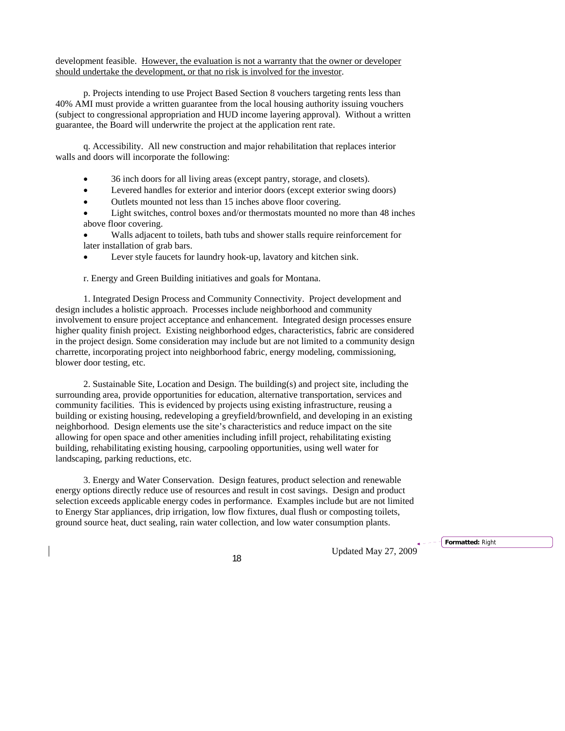development feasible. However, the evaluation is not a warranty that the owner or developer should undertake the development, or that no risk is involved for the investor.

p. Projects intending to use Project Based Section 8 vouchers targeting rents less than 40% AMI must provide a written guarantee from the local housing authority issuing vouchers (subject to congressional appropriation and HUD income layering approval). Without a written guarantee, the Board will underwrite the project at the application rent rate.

q. Accessibility. All new construction and major rehabilitation that replaces interior walls and doors will incorporate the following:

- 36 inch doors for all living areas (except pantry, storage, and closets).
- Levered handles for exterior and interior doors (except exterior swing doors)
- Outlets mounted not less than 15 inches above floor covering.
- Light switches, control boxes and/or thermostats mounted no more than 48 inches above floor covering.
- Walls adjacent to toilets, bath tubs and shower stalls require reinforcement for later installation of grab bars.
- Lever style faucets for laundry hook-up, lavatory and kitchen sink.

r. Energy and Green Building initiatives and goals for Montana.

1. Integrated Design Process and Community Connectivity. Project development and design includes a holistic approach. Processes include neighborhood and community involvement to ensure project acceptance and enhancement. Integrated design processes ensure higher quality finish project. Existing neighborhood edges, characteristics, fabric are considered in the project design. Some consideration may include but are not limited to a community design charrette, incorporating project into neighborhood fabric, energy modeling, commissioning, blower door testing, etc.

2. Sustainable Site, Location and Design. The building(s) and project site, including the surrounding area, provide opportunities for education, alternative transportation, services and community facilities. This is evidenced by projects using existing infrastructure, reusing a building or existing housing, redeveloping a greyfield/brownfield, and developing in an existing neighborhood. Design elements use the site's characteristics and reduce impact on the site allowing for open space and other amenities including infill project, rehabilitating existing building, rehabilitating existing housing, carpooling opportunities, using well water for landscaping, parking reductions, etc.

3. Energy and Water Conservation. Design features, product selection and renewable energy options directly reduce use of resources and result in cost savings. Design and product selection exceeds applicable energy codes in performance. Examples include but are not limited to Energy Star appliances, drip irrigation, low flow fixtures, dual flush or composting toilets, ground source heat, duct sealing, rain water collection, and low water consumption plants.

Updated May 27, 2009 <sup>18</sup>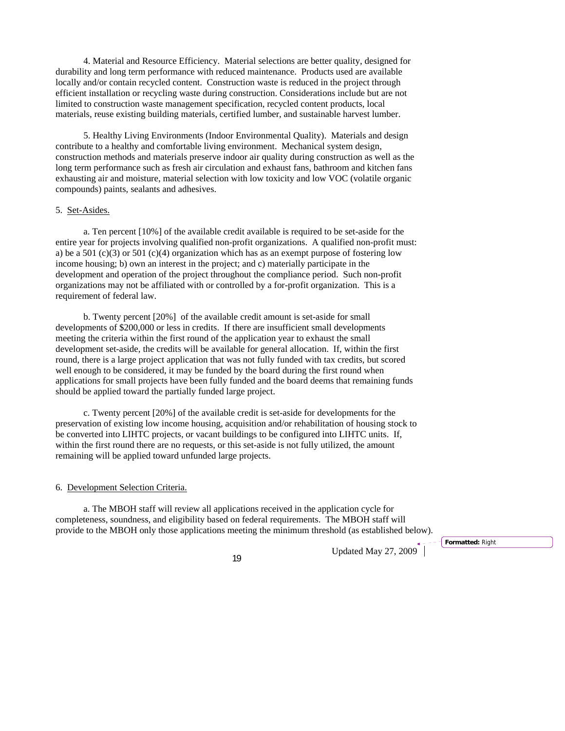4. Material and Resource Efficiency. Material selections are better quality, designed for durability and long term performance with reduced maintenance. Products used are available locally and/or contain recycled content. Construction waste is reduced in the project through efficient installation or recycling waste during construction. Considerations include but are not limited to construction waste management specification, recycled content products, local materials, reuse existing building materials, certified lumber, and sustainable harvest lumber.

5. Healthy Living Environments (Indoor Environmental Quality). Materials and design contribute to a healthy and comfortable living environment. Mechanical system design, construction methods and materials preserve indoor air quality during construction as well as the long term performance such as fresh air circulation and exhaust fans, bathroom and kitchen fans exhausting air and moisture, material selection with low toxicity and low VOC (volatile organic compounds) paints, sealants and adhesives.

#### 5. Set-Asides.

a. Ten percent [10%] of the available credit available is required to be set-aside for the entire year for projects involving qualified non-profit organizations. A qualified non-profit must: a) be a 501 (c)(3) or 501 (c)(4) organization which has as an exempt purpose of fostering low income housing; b) own an interest in the project; and c) materially participate in the development and operation of the project throughout the compliance period. Such non-profit organizations may not be affiliated with or controlled by a for-profit organization. This is a requirement of federal law.

b. Twenty percent [20%] of the available credit amount is set-aside for small developments of \$200,000 or less in credits. If there are insufficient small developments meeting the criteria within the first round of the application year to exhaust the small development set-aside, the credits will be available for general allocation. If, within the first round, there is a large project application that was not fully funded with tax credits, but scored well enough to be considered, it may be funded by the board during the first round when applications for small projects have been fully funded and the board deems that remaining funds should be applied toward the partially funded large project.

c. Twenty percent [20%] of the available credit is set-aside for developments for the preservation of existing low income housing, acquisition and/or rehabilitation of housing stock to be converted into LIHTC projects, or vacant buildings to be configured into LIHTC units. If, within the first round there are no requests, or this set-aside is not fully utilized, the amount remaining will be applied toward unfunded large projects.

## 6. Development Selection Criteria.

a. The MBOH staff will review all applications received in the application cycle for completeness, soundness, and eligibility based on federal requirements. The MBOH staff will provide to the MBOH only those applications meeting the minimum threshold (as established below).

Updated May 27, 2009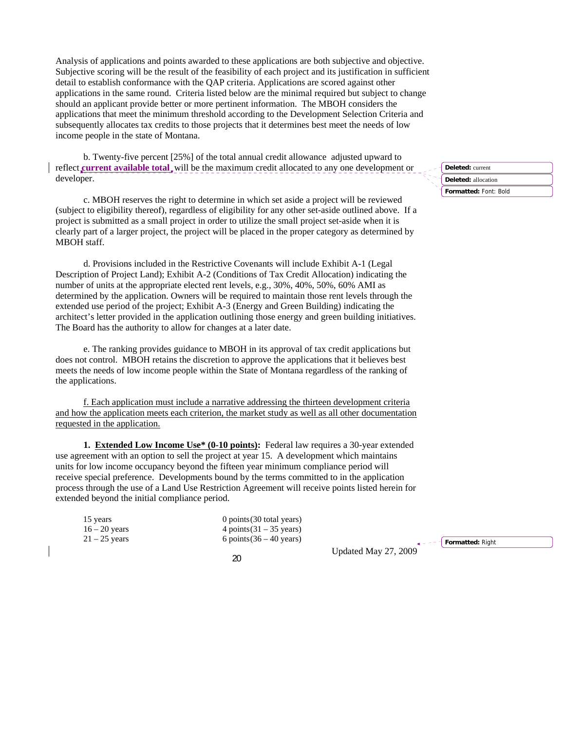Analysis of applications and points awarded to these applications are both subjective and objective. Subjective scoring will be the result of the feasibility of each project and its justification in sufficient detail to establish conformance with the QAP criteria. Applications are scored against other applications in the same round. Criteria listed below are the minimal required but subject to change should an applicant provide better or more pertinent information. The MBOH considers the applications that meet the minimum threshold according to the Development Selection Criteria and subsequently allocates tax credits to those projects that it determines best meet the needs of low income people in the state of Montana.

b. Twenty-five percent [25%] of the total annual credit allowance adjusted upward to reflect **current available total** will be the maximum credit allocated to any one development or developer.

c. MBOH reserves the right to determine in which set aside a project will be reviewed (subject to eligibility thereof), regardless of eligibility for any other set-aside outlined above. If a project is submitted as a small project in order to utilize the small project set-aside when it is clearly part of a larger project, the project will be placed in the proper category as determined by MBOH staff.

d. Provisions included in the Restrictive Covenants will include Exhibit A-1 (Legal Description of Project Land); Exhibit A-2 (Conditions of Tax Credit Allocation) indicating the number of units at the appropriate elected rent levels, e.g., 30%, 40%, 50%, 60% AMI as determined by the application. Owners will be required to maintain those rent levels through the extended use period of the project; Exhibit A-3 (Energy and Green Building) indicating the architect's letter provided in the application outlining those energy and green building initiatives. The Board has the authority to allow for changes at a later date.

e. The ranking provides guidance to MBOH in its approval of tax credit applications but does not control. MBOH retains the discretion to approve the applications that it believes best meets the needs of low income people within the State of Montana regardless of the ranking of the applications.

f. Each application must include a narrative addressing the thirteen development criteria and how the application meets each criterion, the market study as well as all other documentation requested in the application.

**1. Extended Low Income Use\* (0-10 points):** Federal law requires a 30-year extended use agreement with an option to sell the project at year 15. A development which maintains units for low income occupancy beyond the fifteen year minimum compliance period will receive special preference. Developments bound by the terms committed to in the application process through the use of a Land Use Restriction Agreement will receive points listed herein for extended beyond the initial compliance period.

| 15 years        |  |
|-----------------|--|
| 16 – 20 years   |  |
| $21 - 25$ years |  |

 $0$  points (30 total years) 4 points  $(31 – 35 \text{ years})$  $6$  points  $(36 – 40$  years)

Updated May 27, 2009 <sup>20</sup>

**Formatted:** Font: Bold **Deleted:** current **Deleted:** allocation

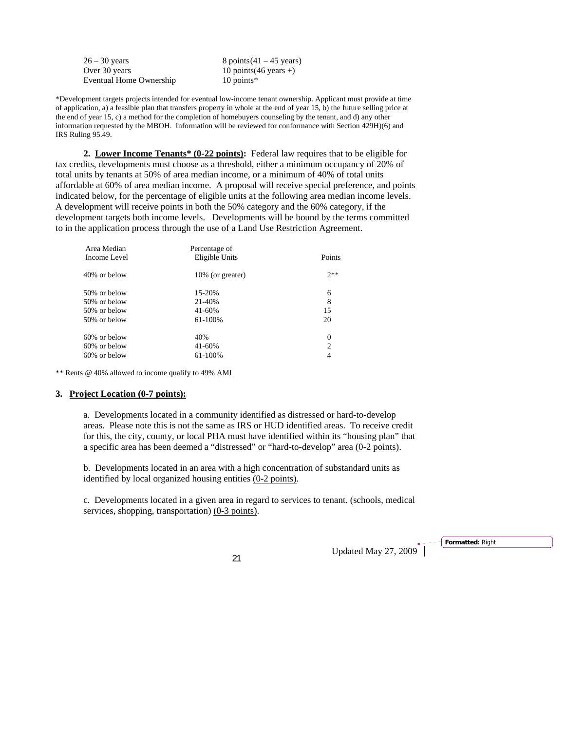$26 - 30$  years 8 points  $(41 - 45$  years) Over 30 years 10 points(46 years +) Eventual Home Ownership 10 points\*

\*Development targets projects intended for eventual low-income tenant ownership. Applicant must provide at time of application, a) a feasible plan that transfers property in whole at the end of year 15, b) the future selling price at the end of year 15, c) a method for the completion of homebuyers counseling by the tenant, and d) any other information requested by the MBOH. Information will be reviewed for conformance with Section 429H)(6) and IRS Ruling 95.49.

**2. Lower Income Tenants\* (0-22 points):** Federal law requires that to be eligible for tax credits, developments must choose as a threshold, either a minimum occupancy of 20% of total units by tenants at 50% of area median income, or a minimum of 40% of total units affordable at 60% of area median income. A proposal will receive special preference, and points indicated below, for the percentage of eligible units at the following area median income levels. A development will receive points in both the 50% category and the 60% category, if the development targets both income levels. Developments will be bound by the terms committed to in the application process through the use of a Land Use Restriction Agreement.

| Area Median     | Percentage of    |          |
|-----------------|------------------|----------|
| Income Level    | Eligible Units   | Points   |
| 40% or below    | 10% (or greater) | $7**$    |
| 50% or below    | 15-20%           | 6        |
| 50% or below    | 21-40%           | 8        |
| 50% or below    | 41-60%           | 15       |
| 50% or below    | 61-100%          | 20       |
| $60\%$ or below | 40%              | $\theta$ |
| $60\%$ or below | 41-60%           | 2        |
| $60\%$ or below | 61-100%          | 4        |
|                 |                  |          |

\*\* Rents @ 40% allowed to income qualify to 49% AMI

#### **3. Project Location (0-7 points):**

a. Developments located in a community identified as distressed or hard-to-develop areas. Please note this is not the same as IRS or HUD identified areas. To receive credit for this, the city, county, or local PHA must have identified within its "housing plan" that a specific area has been deemed a "distressed" or "hard-to-develop" area (0**-**2 points).

b. Developments located in an area with a high concentration of substandard units as identified by local organized housing entities (0**-**2 points).

c. Developments located in a given area in regard to services to tenant. (schools, medical services, shopping, transportation) (0**-**3 points).

Updated May 27, 2009 <sup>21</sup>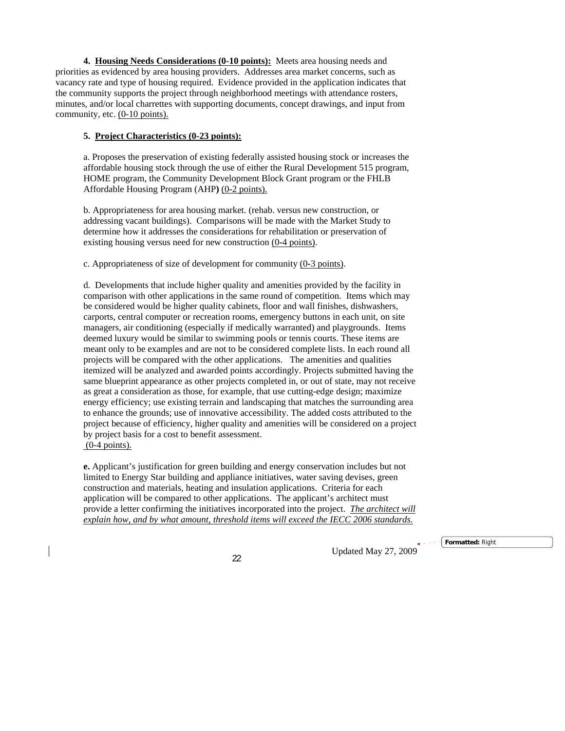**4. Housing Needs Considerations (0-10 points):** Meets area housing needs and priorities as evidenced by area housing providers. Addresses area market concerns, such as vacancy rate and type of housing required. Evidence provided in the application indicates that the community supports the project through neighborhood meetings with attendance rosters, minutes, and/or local charrettes with supporting documents, concept drawings, and input from community, etc. (0-10 points).

# **5. Project Characteristics (0-23 points):**

a. Proposes the preservation of existing federally assisted housing stock or increases the affordable housing stock through the use of either the Rural Development 515 program, HOME program, the Community Development Block Grant program or the FHLB Affordable Housing Program (AHP**)** (0**-**2 points).

b. Appropriateness for area housing market. (rehab. versus new construction, or addressing vacant buildings). Comparisons will be made with the Market Study to determine how it addresses the considerations for rehabilitation or preservation of existing housing versus need for new construction (0**-**4 points).

c. Appropriateness of size of development for community (0**-**3 points).

d. Developments that include higher quality and amenities provided by the facility in comparison with other applications in the same round of competition. Items which may be considered would be higher quality cabinets, floor and wall finishes, dishwashers, carports, central computer or recreation rooms, emergency buttons in each unit, on site managers, air conditioning (especially if medically warranted) and playgrounds. Items deemed luxury would be similar to swimming pools or tennis courts. These items are meant only to be examples and are not to be considered complete lists. In each round all projects will be compared with the other applications. The amenities and qualities itemized will be analyzed and awarded points accordingly. Projects submitted having the same blueprint appearance as other projects completed in, or out of state, may not receive as great a consideration as those, for example, that use cutting-edge design; maximize energy efficiency; use existing terrain and landscaping that matches the surrounding area to enhance the grounds; use of innovative accessibility. The added costs attributed to the project because of efficiency, higher quality and amenities will be considered on a project by project basis for a cost to benefit assessment.

 $(0-4$  points).

**e.** Applicant's justification for green building and energy conservation includes but not limited to Energy Star building and appliance initiatives, water saving devises, green construction and materials, heating and insulation applications. Criteria for each application will be compared to other applications. The applicant's architect must provide a letter confirming the initiatives incorporated into the project.*The architect will explain how, and by what amount, threshold items will exceed the IECC 2006 standards.*

Updated May 27, 2009 <sup>22</sup>

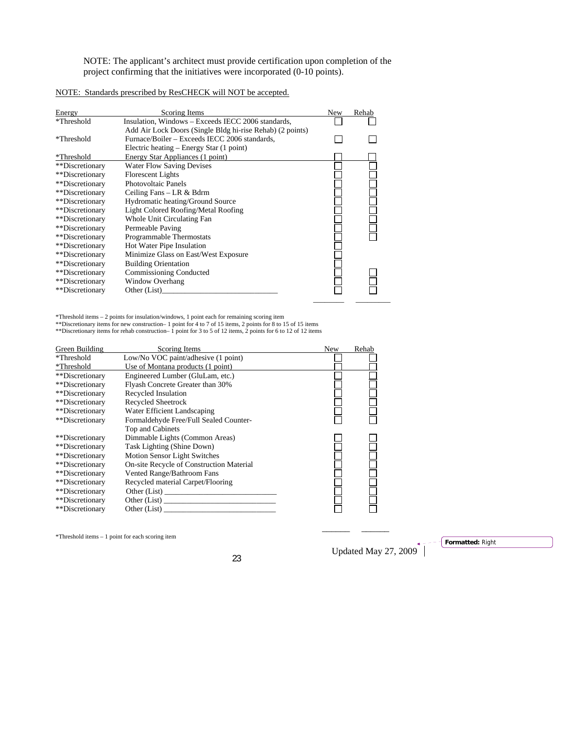NOTE: The applicant's architect must provide certification upon completion of the project confirming that the initiatives were incorporated (0-10 points).

|--|

| Energy          | Scoring Items                                             | <b>New</b> | Rehab |
|-----------------|-----------------------------------------------------------|------------|-------|
| *Threshold      | Insulation, Windows – Exceeds IECC 2006 standards,        |            |       |
|                 | Add Air Lock Doors (Single Bldg hi-rise Rehab) (2 points) |            |       |
| *Threshold      | Furnace/Boiler – Exceeds IECC 2006 standards,             |            |       |
|                 | Electric heating – Energy Star (1 point)                  |            |       |
| *Threshold      | Energy Star Appliances (1 point)                          |            |       |
| **Discretionary | <b>Water Flow Saving Devises</b>                          |            |       |
| **Discretionary | <b>Florescent Lights</b>                                  |            |       |
| **Discretionary | Photovoltaic Panels                                       |            |       |
| **Discretionary | Ceiling Fans $-LR & Bdrm$                                 |            |       |
| **Discretionary | Hydromatic heating/Ground Source                          |            |       |
| **Discretionary | Light Colored Roofing/Metal Roofing                       |            |       |
| **Discretionary | Whole Unit Circulating Fan                                |            |       |
| **Discretionary | Permeable Paving                                          |            |       |
| **Discretionary | Programmable Thermostats                                  |            |       |
| **Discretionary | Hot Water Pipe Insulation                                 |            |       |
| **Discretionary | Minimize Glass on East/West Exposure                      |            |       |
| **Discretionary | <b>Building Orientation</b>                               |            |       |
| **Discretionary | Commissioning Conducted                                   |            |       |
| **Discretionary | <b>Window Overhang</b>                                    |            |       |
| **Discretionary | Other (List)                                              |            |       |
|                 |                                                           |            |       |

Threshold items – 2 points for insulation/windows, 1 point each for remaining scoring item<br>\*\*Discretionary items for new construction– 1 point for 4 to 7 of 15 items, 2 points for 8 to 15 of 15 items<br>\*\*Discretionary items

| Green Building  | Scoring Items                            | <b>New</b> | Rehab |
|-----------------|------------------------------------------|------------|-------|
| *Threshold      | Low/No VOC paint/adhesive (1 point)      |            |       |
| *Threshold      | Use of Montana products (1 point)        |            |       |
| **Discretionary | Engineered Lumber (GluLam, etc.)         |            |       |
| **Discretionary | Flyash Concrete Greater than 30%         |            |       |
| **Discretionary | Recycled Insulation                      |            |       |
| **Discretionary | <b>Recycled Sheetrock</b>                |            |       |
| **Discretionary | Water Efficient Landscaping              |            |       |
| **Discretionary | Formaldehyde Free/Full Sealed Counter-   |            |       |
|                 | Top and Cabinets                         |            |       |
| **Discretionary | Dimmable Lights (Common Areas)           |            |       |
| **Discretionary | Task Lighting (Shine Down)               |            |       |
| **Discretionary | <b>Motion Sensor Light Switches</b>      |            |       |
| **Discretionary | On-site Recycle of Construction Material |            |       |
| **Discretionary | Vented Range/Bathroom Fans               |            |       |
| **Discretionary | Recycled material Carpet/Flooring        |            |       |
| **Discretionary | Other (List)                             |            |       |
| **Discretionary | Other (List)                             |            |       |
| **Discretionary | Other (List)                             |            |       |

 $*$ Threshold items – 1 point for each scoring item

Updated May 27, 2009 <sup>23</sup>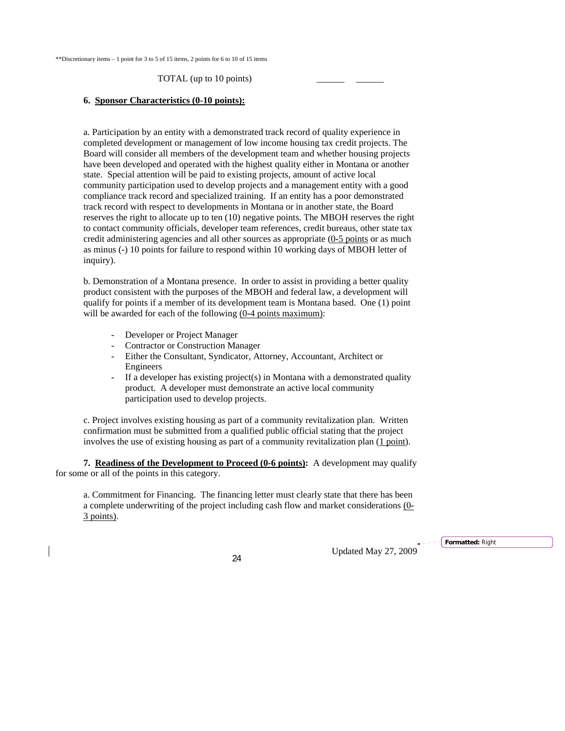#### TOTAL (up to 10 points)

#### **6. Sponsor Characteristics (0-10 points):**

a. Participation by an entity with a demonstrated track record of quality experience in completed development or management of low income housing tax credit projects. The Board will consider all members of the development team and whether housing projects have been developed and operated with the highest quality either in Montana or another state. Special attention will be paid to existing projects, amount of active local community participation used to develop projects and a management entity with a good compliance track record and specialized training. If an entity has a poor demonstrated track record with respect to developments in Montana or in another state, the Board reserves the right to allocate up to ten (10) negative points. The MBOH reserves the right to contact community officials, developer team references, credit bureaus, other state tax credit administering agencies and all other sources as appropriate (0**-**5 points or as much as minus (-) 10 points for failure to respond within 10 working days of MBOH letter of inquiry).

b. Demonstration of a Montana presence. In order to assist in providing a better quality product consistent with the purposes of the MBOH and federal law, a development will qualify for points if a member of its development team is Montana based. One (1) point will be awarded for each of the following  $(0-4 \text{ points maximum})$ :

- Developer or Project Manager
- Contractor or Construction Manager
- Either the Consultant, Syndicator, Attorney, Accountant, Architect or Engineers
- If a developer has existing project(s) in Montana with a demonstrated quality product. A developer must demonstrate an active local community participation used to develop projects.

 c. Project involves existing housing as part of a community revitalization plan. Written confirmation must be submitted from a qualified public official stating that the project involves the use of existing housing as part of a community revitalization plan (1 point).

**7. Readiness of the Development to Proceed (0-6 points):** A development may qualify for some or all of the points in this category.

a. Commitment for Financing. The financing letter must clearly state that there has been a complete underwriting of the project including cash flow and market considerations (0**-** 3 points).

Updated May 27, 2009 <sup>24</sup>

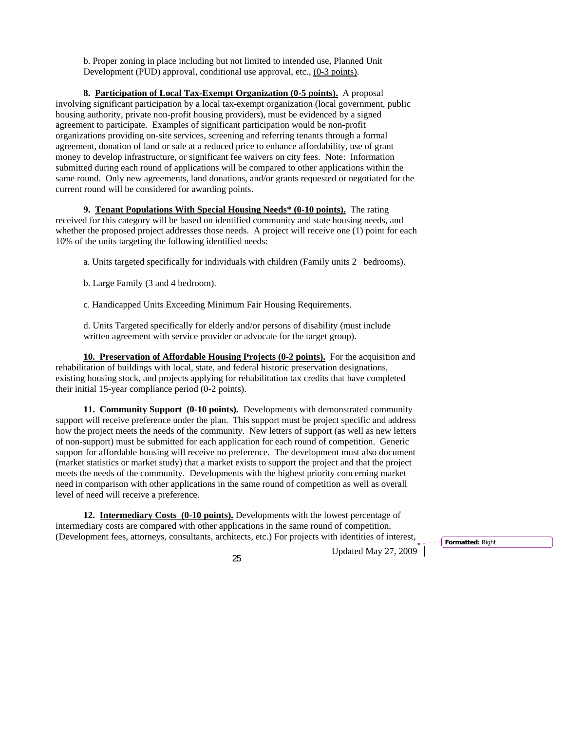b. Proper zoning in place including but not limited to intended use, Planned Unit Development (PUD) approval, conditional use approval, etc., (0**-**3 points).

**8. Participation of Local Tax-Exempt Organization (0-5 points).** A proposal involving significant participation by a local tax-exempt organization (local government, public housing authority, private non-profit housing providers), must be evidenced by a signed agreement to participate. Examples of significant participation would be non-profit organizations providing on-site services, screening and referring tenants through a formal agreement, donation of land or sale at a reduced price to enhance affordability, use of grant money to develop infrastructure, or significant fee waivers on city fees. Note: Information submitted during each round of applications will be compared to other applications within the same round. Only new agreements, land donations, and/or grants requested or negotiated for the current round will be considered for awarding points.

**9. Tenant Populations With Special Housing Needs\* (0-10 points).** The rating received for this category will be based on identified community and state housing needs, and whether the proposed project addresses those needs. A project will receive one (1) point for each 10% of the units targeting the following identified needs:

a. Units targeted specifically for individuals with children (Family units 2 bedrooms).

b. Large Family (3 and 4 bedroom).

c. Handicapped Units Exceeding Minimum Fair Housing Requirements.

d. Units Targeted specifically for elderly and/or persons of disability (must include written agreement with service provider or advocate for the target group).

**10. Preservation of Affordable Housing Projects (0-2 points).** For the acquisition and rehabilitation of buildings with local, state, and federal historic preservation designations, existing housing stock, and projects applying for rehabilitation tax credits that have completed their initial 15-year compliance period (0-2 points).

**11. Community Support (0-10 points).** Developments with demonstrated community support will receive preference under the plan. This support must be project specific and address how the project meets the needs of the community. New letters of support (as well as new letters of non-support) must be submitted for each application for each round of competition. Generic support for affordable housing will receive no preference. The development must also document (market statistics or market study) that a market exists to support the project and that the project meets the needs of the community. Developments with the highest priority concerning market need in comparison with other applications in the same round of competition as well as overall level of need will receive a preference.

**12. Intermediary Costs (0-10 points).** Developments with the lowest percentage of intermediary costs are compared with other applications in the same round of competition. (Development fees, attorneys, consultants, architects, etc.) For projects with identities of interest,

 $Updated May 27, 2009$ <sup> $\overline{1}$ </sup>

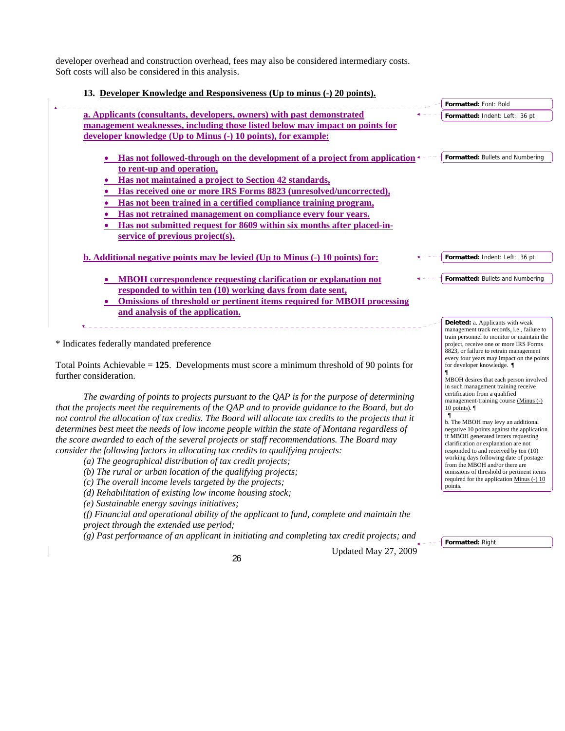developer overhead and construction overhead, fees may also be considered intermediary costs. Soft costs will also be considered in this analysis.

| 13. Developer Knowledge and Responsiveness (Up to minus (-) 20 points).      |                                            |
|------------------------------------------------------------------------------|--------------------------------------------|
|                                                                              | Formatted: Font: Bold                      |
| a. Applicants (consultants, developers, owners) with past demonstrated       | Formatted: Indent: Left: 36 pt             |
| management weaknesses, including those listed below may impact on points for |                                            |
| developer knowledge (Up to Minus (-) 10 points), for example:                |                                            |
|                                                                              |                                            |
| Has not followed-through on the development of a project from application    | Formatted: Bullets and Numbering           |
| to rent-up and operation,                                                    |                                            |
| Has not maintained a project to Section 42 standards,                        |                                            |
| Has received one or more IRS Forms 8823 (unresolved/uncorrected),            |                                            |
| Has not been trained in a certified compliance training program,             |                                            |
| Has not retrained management on compliance every four years.                 |                                            |
| Has not submitted request for 8609 within six months after placed-in-        |                                            |
| service of previous project(s).                                              |                                            |
|                                                                              |                                            |
| b. Additional negative points may be levied (Up to Minus (-) 10 points) for: | Formatted: Indent: Left: 36 pt             |
|                                                                              |                                            |
| <b>MBOH</b> correspondence requesting clarification or explanation not       | Formatted: Bullets and Numbering           |
| responded to within ten (10) working days from date sent,                    |                                            |
| Omissions of threshold or pertinent items required for MBOH processing       |                                            |
| and analysis of the application.                                             |                                            |
|                                                                              | Deleted: a. Applicants with weak           |
|                                                                              | management track records, i.e., failure to |
|                                                                              | train personnel to monitor or maintain the |

\* Indicates federally mandated preference

Total Points Achievable = **125**. Developments must score a minimum threshold of 90 points for further consideration.

*The awarding of points to projects pursuant to the QAP is for the purpose of determining that the projects meet the requirements of the QAP and to provide guidance to the Board, but do not control the allocation of tax credits. The Board will allocate tax credits to the projects that it determines best meet the needs of low income people within the state of Montana regardless of the score awarded to each of the several projects or staff recommendations. The Board may consider the following factors in allocating tax credits to qualifying projects:* 

*(a) The geographical distribution of tax credit projects;* 

- *(b) The rural or urban location of the qualifying projects;*
- *(c) The overall income levels targeted by the projects;*

*(d) Rehabilitation of existing low income housing stock;* 

*(e) Sustainable energy savings initiatives;* 

*(f) Financial and operational ability of the applicant to fund, complete and maintain the project through the extended use period;* 

*(g) Past performance of an applicant in initiating and completing tax credit projects; and* 

Updated May 27, 2009 <sup>26</sup>

**Formatted:** Right

10 points). ¶

points.

project, receive one or more IRS Forms 8823, or failure to retrain management every four years may impact on the points for developer knowledge. ¶

¶ MBOH desires that each person involved in such management training receive certification from a qualified management-training course (Minus (-)

 ¶ b. The MBOH may levy an additional negative 10 points against the application if MBOH generated letters requesting clarification or explanation are not responded to and received by ten (10) working days following date of postage from the MBOH and/or there are omissions of threshold or pertinent items required for the application Minus (-) 10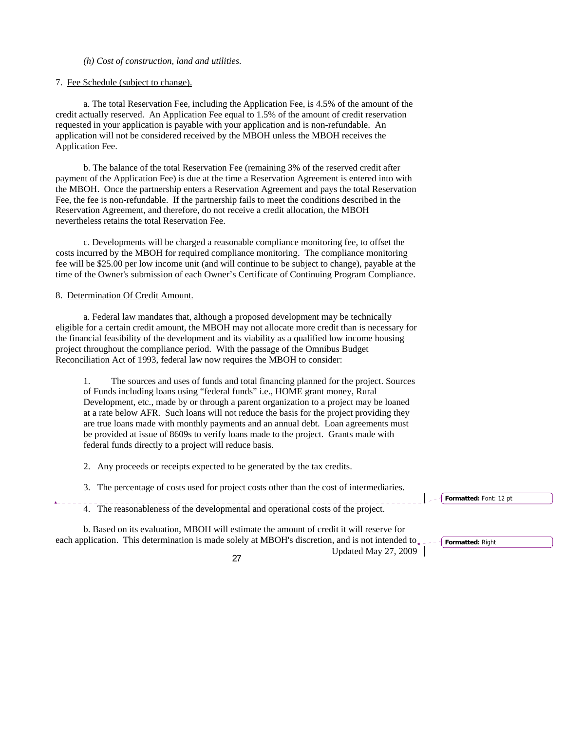# *(h) Cost of construction, land and utilities.*

### 7. Fee Schedule (subject to change).

 a. The total Reservation Fee, including the Application Fee, is 4.5% of the amount of the credit actually reserved. An Application Fee equal to 1.5% of the amount of credit reservation requested in your application is payable with your application and is non-refundable. An application will not be considered received by the MBOH unless the MBOH receives the Application Fee.

 b. The balance of the total Reservation Fee (remaining 3% of the reserved credit after payment of the Application Fee) is due at the time a Reservation Agreement is entered into with the MBOH. Once the partnership enters a Reservation Agreement and pays the total Reservation Fee, the fee is non-refundable. If the partnership fails to meet the conditions described in the Reservation Agreement, and therefore, do not receive a credit allocation, the MBOH nevertheless retains the total Reservation Fee.

 c. Developments will be charged a reasonable compliance monitoring fee, to offset the costs incurred by the MBOH for required compliance monitoring. The compliance monitoring fee will be \$25.00 per low income unit (and will continue to be subject to change), payable at the time of the Owner's submission of each Owner's Certificate of Continuing Program Compliance.

#### 8. Determination Of Credit Amount.

a. Federal law mandates that, although a proposed development may be technically eligible for a certain credit amount, the MBOH may not allocate more credit than is necessary for the financial feasibility of the development and its viability as a qualified low income housing project throughout the compliance period. With the passage of the Omnibus Budget Reconciliation Act of 1993, federal law now requires the MBOH to consider:

1. The sources and uses of funds and total financing planned for the project. Sources of Funds including loans using "federal funds" i.e., HOME grant money, Rural Development, etc., made by or through a parent organization to a project may be loaned at a rate below AFR. Such loans will not reduce the basis for the project providing they are true loans made with monthly payments and an annual debt. Loan agreements must be provided at issue of 8609s to verify loans made to the project. Grants made with federal funds directly to a project will reduce basis.

2. Any proceeds or receipts expected to be generated by the tax credits.

3. The percentage of costs used for project costs other than the cost of intermediaries.

4. The reasonableness of the developmental and operational costs of the project.

Updated May 27, 2009 <sup>27</sup> each application. This determination is made solely at MBOH's discretion, and is not intended to  $\epsilon$ ---- **Formatted:** Right b. Based on its evaluation, MBOH will estimate the amount of credit it will reserve for

**Formatted:** Font: 12 pt

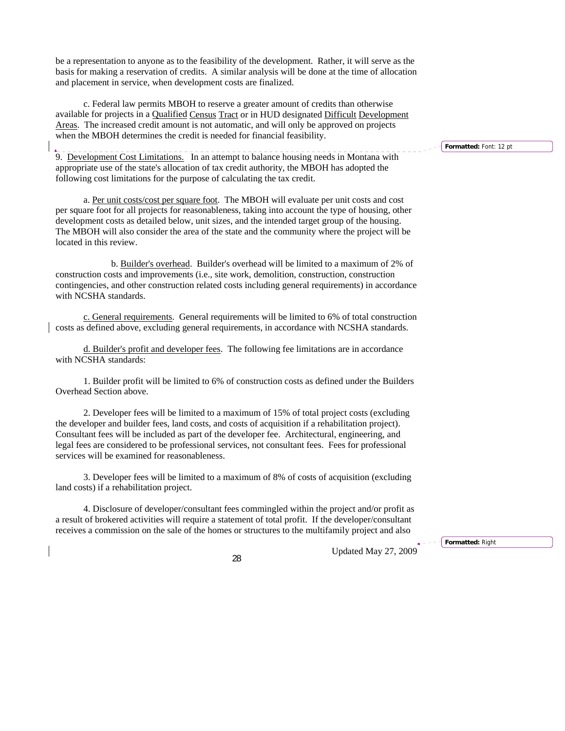be a representation to anyone as to the feasibility of the development. Rather, it will serve as the basis for making a reservation of credits. A similar analysis will be done at the time of allocation and placement in service, when development costs are finalized.

c. Federal law permits MBOH to reserve a greater amount of credits than otherwise available for projects in a Qualified Census Tract or in HUD designated Difficult Development Areas. The increased credit amount is not automatic, and will only be approved on projects when the MBOH determines the credit is needed for financial feasibility.

9. Development Cost Limitations. In an attempt to balance housing needs in Montana with appropriate use of the state's allocation of tax credit authority, the MBOH has adopted the following cost limitations for the purpose of calculating the tax credit.

 a. Per unit costs/cost per square foot. The MBOH will evaluate per unit costs and cost per square foot for all projects for reasonableness, taking into account the type of housing, other development costs as detailed below, unit sizes, and the intended target group of the housing. The MBOH will also consider the area of the state and the community where the project will be located in this review.

 b. Builder's overhead. Builder's overhead will be limited to a maximum of 2% of construction costs and improvements (i.e., site work, demolition, construction, construction contingencies, and other construction related costs including general requirements) in accordance with NCSHA standards.

c. General requirements. General requirements will be limited to 6% of total construction costs as defined above, excluding general requirements, in accordance with NCSHA standards.

d. Builder's profit and developer fees. The following fee limitations are in accordance with NCSHA standards:

1. Builder profit will be limited to 6% of construction costs as defined under the Builders Overhead Section above.

2. Developer fees will be limited to a maximum of 15% of total project costs (excluding the developer and builder fees, land costs, and costs of acquisition if a rehabilitation project). Consultant fees will be included as part of the developer fee. Architectural, engineering, and legal fees are considered to be professional services, not consultant fees. Fees for professional services will be examined for reasonableness.

3. Developer fees will be limited to a maximum of 8% of costs of acquisition (excluding land costs) if a rehabilitation project.

4. Disclosure of developer/consultant fees commingled within the project and/or profit as a result of brokered activities will require a statement of total profit. If the developer/consultant receives a commission on the sale of the homes or structures to the multifamily project and also

Updated May 27, 2009 <sup>28</sup>

**Formatted:** Right

**Formatted:** Font: 12 pt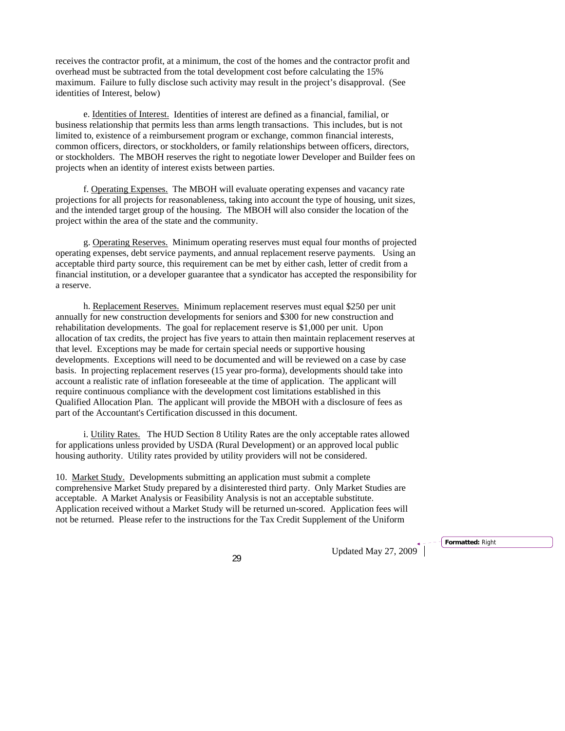receives the contractor profit, at a minimum, the cost of the homes and the contractor profit and overhead must be subtracted from the total development cost before calculating the 15% maximum. Failure to fully disclose such activity may result in the project's disapproval. (See identities of Interest, below)

 e. Identities of Interest. Identities of interest are defined as a financial, familial, or business relationship that permits less than arms length transactions. This includes, but is not limited to, existence of a reimbursement program or exchange, common financial interests, common officers, directors, or stockholders, or family relationships between officers, directors, or stockholders. The MBOH reserves the right to negotiate lower Developer and Builder fees on projects when an identity of interest exists between parties.

 f. Operating Expenses. The MBOH will evaluate operating expenses and vacancy rate projections for all projects for reasonableness, taking into account the type of housing, unit sizes, and the intended target group of the housing. The MBOH will also consider the location of the project within the area of the state and the community.

 g. Operating Reserves. Minimum operating reserves must equal four months of projected operating expenses, debt service payments, and annual replacement reserve payments. Using an acceptable third party source, this requirement can be met by either cash, letter of credit from a financial institution, or a developer guarantee that a syndicator has accepted the responsibility for a reserve.

 h. Replacement Reserves. Minimum replacement reserves must equal \$250 per unit annually for new construction developments for seniors and \$300 for new construction and rehabilitation developments. The goal for replacement reserve is \$1,000 per unit. Upon allocation of tax credits, the project has five years to attain then maintain replacement reserves at that level.Exceptions may be made for certain special needs or supportive housing developments. Exceptions will need to be documented and will be reviewed on a case by case basis. In projecting replacement reserves (15 year pro-forma), developments should take into account a realistic rate of inflation foreseeable at the time of application. The applicant will require continuous compliance with the development cost limitations established in this Qualified Allocation Plan. The applicant will provide the MBOH with a disclosure of fees as part of the Accountant's Certification discussed in this document.

 i. Utility Rates. The HUD Section 8 Utility Rates are the only acceptable rates allowed for applications unless provided by USDA (Rural Development) or an approved local public housing authority. Utility rates provided by utility providers will not be considered.

10. Market Study. Developments submitting an application must submit a complete comprehensive Market Study prepared by a disinterested third party. Only Market Studies are acceptable. A Market Analysis or Feasibility Analysis is not an acceptable substitute. Application received without a Market Study will be returned un-scored. Application fees will not be returned. Please refer to the instructions for the Tax Credit Supplement of the Uniform

Updated May 27, 2009 <sup>29</sup>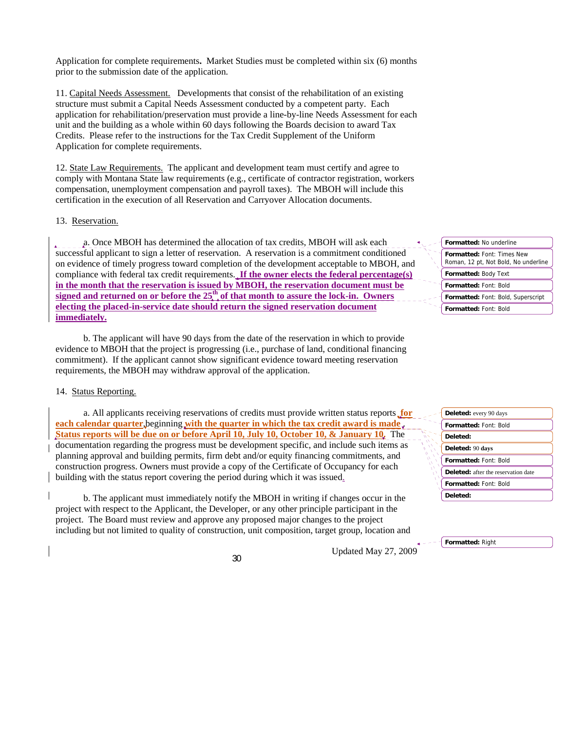Application for complete requirements**.** Market Studies must be completed within six (6) months prior to the submission date of the application.

11. Capital Needs Assessment. Developments that consist of the rehabilitation of an existing structure must submit a Capital Needs Assessment conducted by a competent party. Each application for rehabilitation/preservation must provide a line-by-line Needs Assessment for each unit and the building as a whole within 60 days following the Boards decision to award Tax Credits.Please refer to the instructions for the Tax Credit Supplement of the Uniform Application for complete requirements.

12. State Law Requirements. The applicant and development team must certify and agree to comply with Montana State law requirements (e.g., certificate of contractor registration, workers compensation, unemployment compensation and payroll taxes). The MBOH will include this certification in the execution of all Reservation and Carryover Allocation documents.

#### 13. Reservation.

a. Once MBOH has determined the allocation of tax credits, MBOH will ask each successful applicant to sign a letter of reservation. A reservation is a commitment conditioned on evidence of timely progress toward completion of the development acceptable to MBOH, and compliance with federal tax credit requirements. **If the owner elects the federal percentage(s) in the month that the reservation is issued by MBOH, the reservation document must be**  signed and returned on or before the  $25<sup>th</sup>$  of that month to assure the lock-in. Owners **electing the placed-in-service date should return the signed reservation document immediately.**

b. The applicant will have 90 days from the date of the reservation in which to provide evidence to MBOH that the project is progressing (i.e., purchase of land, conditional financing commitment). If the applicant cannot show significant evidence toward meeting reservation requirements, the MBOH may withdraw approval of the application.

#### 14. Status Reporting.

a. All applicants receiving reservations of credits must provide written status reports **for each calendar quarter**, beginning **with the quarter in which the tax credit award is made**. **Status reports will be due on or before April 10, July 10, October 10, & January 10.** The documentation regarding the progress must be development specific, and include such items as planning approval and building permits, firm debt and/or equity financing commitments, and construction progress. Owners must provide a copy of the Certificate of Occupancy for each building with the status report covering the period during which it was issued.

b. The applicant must immediately notify the MBOH in writing if changes occur in the project with respect to the Applicant, the Developer, or any other principle participant in the project. The Board must review and approve any proposed major changes to the project including but not limited to quality of construction, unit composition, target group, location and

Updated May 27, 2009 <sup>30</sup>

| Formatted: No underline                                                   |  |  |  |
|---------------------------------------------------------------------------|--|--|--|
| <b>Formatted: Font: Times New</b><br>Roman, 12 pt, Not Bold, No underline |  |  |  |
| <b>Formatted: Body Text</b>                                               |  |  |  |
| Formatted: Font: Bold                                                     |  |  |  |
| Formatted: Font: Bold, Superscript                                        |  |  |  |
| Formatted: Font: Bold                                                     |  |  |  |

| <b>Deleted:</b> every 90 days       |
|-------------------------------------|
| <b>Formatted: Font: Bold</b>        |
| Deleted:                            |
| Deleted: 90 days                    |
| <b>Formatted: Font: Bold</b>        |
| Deleted: after the reservation date |
| Formatted: Font: Bold               |
| Deleted:                            |

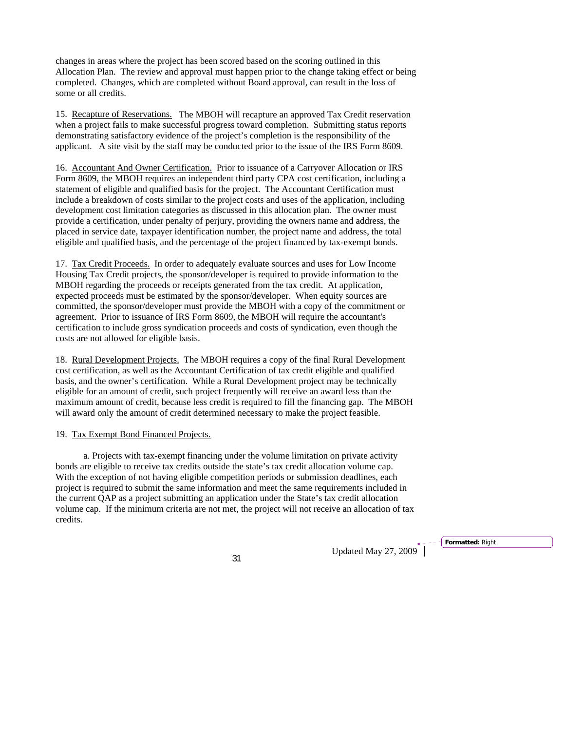changes in areas where the project has been scored based on the scoring outlined in this Allocation Plan. The review and approval must happen prior to the change taking effect or being completed. Changes, which are completed without Board approval, can result in the loss of some or all credits.

15. Recapture of Reservations. The MBOH will recapture an approved Tax Credit reservation when a project fails to make successful progress toward completion. Submitting status reports demonstrating satisfactory evidence of the project's completion is the responsibility of the applicant. A site visit by the staff may be conducted prior to the issue of the IRS Form 8609.

16. Accountant And Owner Certification. Prior to issuance of a Carryover Allocation or IRS Form 8609, the MBOH requires an independent third party CPA cost certification, including a statement of eligible and qualified basis for the project. The Accountant Certification must include a breakdown of costs similar to the project costs and uses of the application, including development cost limitation categories as discussed in this allocation plan. The owner must provide a certification, under penalty of perjury, providing the owners name and address, the placed in service date, taxpayer identification number, the project name and address, the total eligible and qualified basis, and the percentage of the project financed by tax-exempt bonds.

17. Tax Credit Proceeds. In order to adequately evaluate sources and uses for Low Income Housing Tax Credit projects, the sponsor/developer is required to provide information to the MBOH regarding the proceeds or receipts generated from the tax credit. At application, expected proceeds must be estimated by the sponsor/developer. When equity sources are committed, the sponsor/developer must provide the MBOH with a copy of the commitment or agreement. Prior to issuance of IRS Form 8609, the MBOH will require the accountant's certification to include gross syndication proceeds and costs of syndication, even though the costs are not allowed for eligible basis.

18. Rural Development Projects. The MBOH requires a copy of the final Rural Development cost certification, as well as the Accountant Certification of tax credit eligible and qualified basis, and the owner's certification. While a Rural Development project may be technically eligible for an amount of credit, such project frequently will receive an award less than the maximum amount of credit, because less credit is required to fill the financing gap. The MBOH will award only the amount of credit determined necessary to make the project feasible.

#### 19. Tax Exempt Bond Financed Projects.

a. Projects with tax-exempt financing under the volume limitation on private activity bonds are eligible to receive tax credits outside the state's tax credit allocation volume cap. With the exception of not having eligible competition periods or submission deadlines, each project is required to submit the same information and meet the same requirements included in the current QAP as a project submitting an application under the State's tax credit allocation volume cap. If the minimum criteria are not met, the project will not receive an allocation of tax credits.

Updated May 27, 2009 <sup>31</sup>

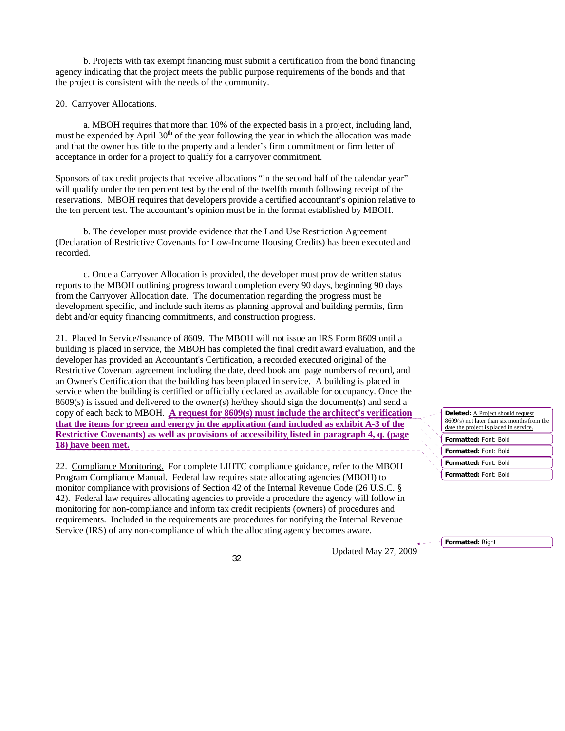b. Projects with tax exempt financing must submit a certification from the bond financing agency indicating that the project meets the public purpose requirements of the bonds and that the project is consistent with the needs of the community.

#### 20. Carryover Allocations.

a. MBOH requires that more than 10% of the expected basis in a project, including land, must be expended by April  $30<sup>th</sup>$  of the year following the year in which the allocation was made and that the owner has title to the property and a lender's firm commitment or firm letter of acceptance in order for a project to qualify for a carryover commitment.

Sponsors of tax credit projects that receive allocations "in the second half of the calendar year" will qualify under the ten percent test by the end of the twelfth month following receipt of the reservations. MBOH requires that developers provide a certified accountant's opinion relative to the ten percent test. The accountant's opinion must be in the format established by MBOH.

b. The developer must provide evidence that the Land Use Restriction Agreement (Declaration of Restrictive Covenants for Low-Income Housing Credits) has been executed and recorded.

c. Once a Carryover Allocation is provided, the developer must provide written status reports to the MBOH outlining progress toward completion every 90 days, beginning 90 days from the Carryover Allocation date. The documentation regarding the progress must be development specific, and include such items as planning approval and building permits, firm debt and/or equity financing commitments, and construction progress.

21. Placed In Service/Issuance of 8609. The MBOH will not issue an IRS Form 8609 until a building is placed in service, the MBOH has completed the final credit award evaluation, and the developer has provided an Accountant's Certification, a recorded executed original of the Restrictive Covenant agreement including the date, deed book and page numbers of record, and an Owner's Certification that the building has been placed in service. A building is placed in service when the building is certified or officially declared as available for occupancy. Once the 8609(s) is issued and delivered to the owner(s) he/they should sign the document(s) and send a copy of each back to MBOH. **A request for 8609(s) must include the architect's verification that the items for green and energy in the application (and included as exhibit A-3 of the Restrictive Covenants) as well as provisions of accessibility listed in paragraph 4, q. (page 18) have been met.**

22. Compliance Monitoring.For complete LIHTC compliance guidance, refer to the MBOH Program Compliance Manual.Federal law requires state allocating agencies (MBOH) to monitor compliance with provisions of Section 42 of the Internal Revenue Code (26 U.S.C. § 42). Federal law requires allocating agencies to provide a procedure the agency will follow in monitoring for non-compliance and inform tax credit recipients (owners) of procedures and requirements. Included in the requirements are procedures for notifying the Internal Revenue Service (IRS) of any non-compliance of which the allocating agency becomes aware.

Updated May 27, 2009 <sup>32</sup>

**Formatted:** Font: Bold **Formatted:** Font: Bold **Formatted:** Font: Bold **Formatted:** Font: Bold Deleted: **A Project should request** 8609(s) not later than six months from the date the project is placed in service.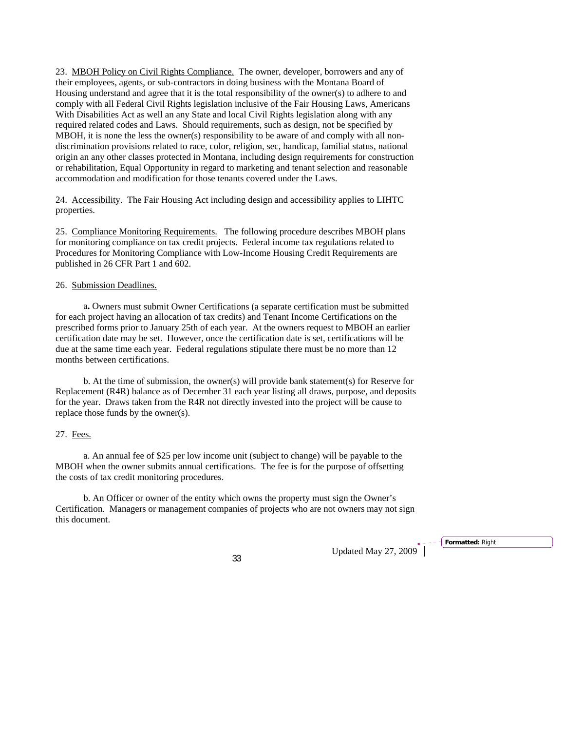23. MBOH Policy on Civil Rights Compliance. The owner, developer, borrowers and any of their employees, agents, or sub-contractors in doing business with the Montana Board of Housing understand and agree that it is the total responsibility of the owner(s) to adhere to and comply with all Federal Civil Rights legislation inclusive of the Fair Housing Laws, Americans With Disabilities Act as well an any State and local Civil Rights legislation along with any required related codes and Laws. Should requirements, such as design, not be specified by MBOH, it is none the less the owner(s) responsibility to be aware of and comply with all nondiscrimination provisions related to race, color, religion, sec, handicap, familial status, national origin an any other classes protected in Montana, including design requirements for construction or rehabilitation, Equal Opportunity in regard to marketing and tenant selection and reasonable accommodation and modification for those tenants covered under the Laws.

24. Accessibility. The Fair Housing Act including design and accessibility applies to LIHTC properties.

25. Compliance Monitoring Requirements. The following procedure describes MBOH plans for monitoring compliance on tax credit projects. Federal income tax regulations related to Procedures for Monitoring Compliance with Low-Income Housing Credit Requirements are published in 26 CFR Part 1 and 602.

#### 26. Submission Deadlines.

 a**.** Owners must submit Owner Certifications (a separate certification must be submitted for each project having an allocation of tax credits) and Tenant Income Certifications on the prescribed forms prior to January 25th of each year. At the owners request to MBOH an earlier certification date may be set. However, once the certification date is set, certifications will be due at the same time each year. Federal regulations stipulate there must be no more than 12 months between certifications.

b. At the time of submission, the owner(s) will provide bank statement(s) for Reserve for Replacement (R4R) balance as of December 31 each year listing all draws, purpose, and deposits for the year. Draws taken from the R4R not directly invested into the project will be cause to replace those funds by the owner(s).

## 27. Fees.

a. An annual fee of \$25 per low income unit (subject to change) will be payable to the MBOH when the owner submits annual certifications. The fee is for the purpose of offsetting the costs of tax credit monitoring procedures.

b. An Officer or owner of the entity which owns the property must sign the Owner's Certification. Managers or management companies of projects who are not owners may not sign this document.

Updated May 27, 2009<sup>\*</sup>

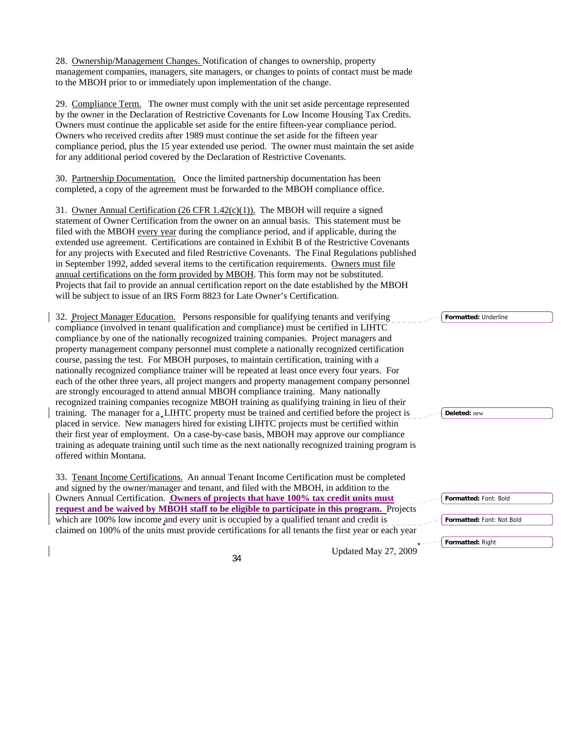28. Ownership/Management Changes. Notification of changes to ownership, property management companies, managers, site managers, or changes to points of contact must be made to the MBOH prior to or immediately upon implementation of the change.

29. Compliance Term.The owner must comply with the unit set aside percentage represented by the owner in the Declaration of Restrictive Covenants for Low Income Housing Tax Credits. Owners must continue the applicable set aside for the entire fifteen-year compliance period. Owners who received credits after 1989 must continue the set aside for the fifteen year compliance period, plus the 15 year extended use period. The owner must maintain the set aside for any additional period covered by the Declaration of Restrictive Covenants.

30.Partnership Documentation. Once the limited partnership documentation has been completed, a copy of the agreement must be forwarded to the MBOH compliance office.

31. Owner Annual Certification (26 CFR  $1.42(c)(1)$ ). The MBOH will require a signed statement of Owner Certification from the owner on an annual basis. This statement must be filed with the MBOH every year during the compliance period, and if applicable, during the extended use agreement. Certifications are contained in Exhibit B of the Restrictive Covenants for any projects with Executed and filed Restrictive Covenants. The Final Regulations published in September 1992, added several items to the certification requirements. Owners must file annual certifications on the form provided by MBOH. This form may not be substituted. Projects that fail to provide an annual certification report on the date established by the MBOH will be subject to issue of an IRS Form 8823 for Late Owner's Certification.

32. Project Manager Education. Persons responsible for qualifying tenants and verifying compliance (involved in tenant qualification and compliance) must be certified in LIHTC compliance by one of the nationally recognized training companies. Project managers and property management company personnel must complete a nationally recognized certification course, passing the test. For MBOH purposes, to maintain certification, training with a nationally recognized compliance trainer will be repeated at least once every four years. For each of the other three years, all project mangers and property management company personnel are strongly encouraged to attend annual MBOH compliance training. Many nationally recognized training companies recognize MBOH training as qualifying training in lieu of their training. The manager for a LIHTC property must be trained and certified before the project is placed in service. New managers hired for existing LIHTC projects must be certified within their first year of employment. On a case-by-case basis, MBOH may approve our compliance training as adequate training until such time as the next nationally recognized training program is offered within Montana.

33. Tenant Income Certifications.An annual Tenant Income Certification must be completed and signed by the owner/manager and tenant, and filed with the MBOH, in addition to the Owners Annual Certification. **Owners of projects that have 100% tax credit units must request and be waived by MBOH staff to be eligible to participate in this program.** Projects which are 100% low income and every unit is occupied by a qualified tenant and credit is claimed on 100% of the units must provide certifications for all tenants the first year or each year

Updated May 27, 2009 <sup>34</sup>

**Formatted:** Underline

**Deleted:** new

| Formatted: Font: Bold |  |  |
|-----------------------|--|--|
|                       |  |  |

**Formatted:** Font: Not Bold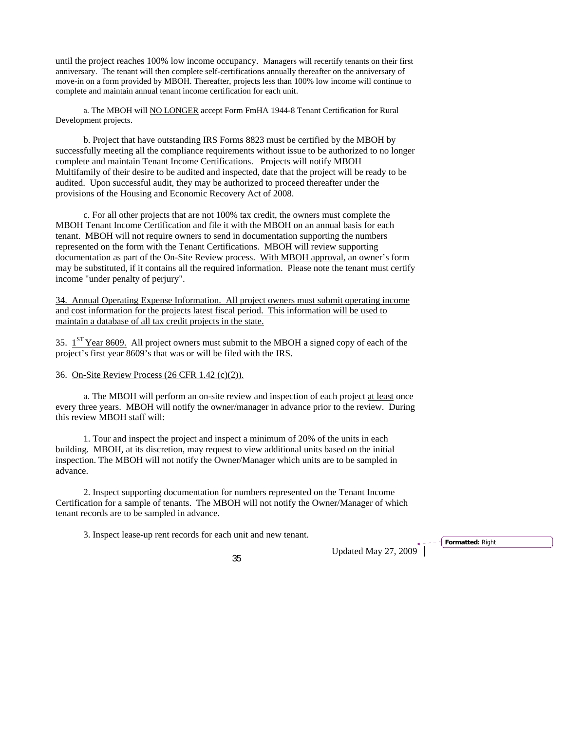until the project reaches 100% low income occupancy. Managers will recertify tenants on their first anniversary. The tenant will then complete self-certifications annually thereafter on the anniversary of move-in on a form provided by MBOH. Thereafter, projects less than 100% low income will continue to complete and maintain annual tenant income certification for each unit.

a. The MBOH will **NO LONGER** accept Form FmHA 1944-8 Tenant Certification for Rural Development projects.

b. Project that have outstanding IRS Forms 8823 must be certified by the MBOH by successfully meeting all the compliance requirements without issue to be authorized to no longer complete and maintain Tenant Income Certifications. Projects will notify MBOH Multifamily of their desire to be audited and inspected, date that the project will be ready to be audited. Upon successful audit, they may be authorized to proceed thereafter under the provisions of the Housing and Economic Recovery Act of 2008.

c. For all other projects that are not 100% tax credit, the owners must complete the MBOH Tenant Income Certification and file it with the MBOH on an annual basis for each tenant. MBOH will not require owners to send in documentation supporting the numbers represented on the form with the Tenant Certifications. MBOH will review supporting documentation as part of the On-Site Review process. With MBOH approval, an owner's form may be substituted, if it contains all the required information. Please note the tenant must certify income "under penalty of perjury".

34. Annual Operating Expense Information. All project owners must submit operating income and cost information for the projects latest fiscal period. This information will be used to maintain a database of all tax credit projects in the state.

35. 1ST Year 8609. All project owners must submit to the MBOH a signed copy of each of the project's first year 8609's that was or will be filed with the IRS.

# 36. On-Site Review Process (26 CFR 1.42 (c)(2)).

 a. The MBOH will perform an on-site review and inspection of each project at least once every three years. MBOH will notify the owner/manager in advance prior to the review. During this review MBOH staff will:

1. Tour and inspect the project and inspect a minimum of 20% of the units in each building. MBOH, at its discretion, may request to view additional units based on the initial inspection. The MBOH will not notify the Owner/Manager which units are to be sampled in advance.

2. Inspect supporting documentation for numbers represented on the Tenant Income Certification for a sample of tenants. The MBOH will not notify the Owner/Manager of which tenant records are to be sampled in advance.

3. Inspect lease-up rent records for each unit and new tenant.

Updated May 27, 2009 <sup>35</sup>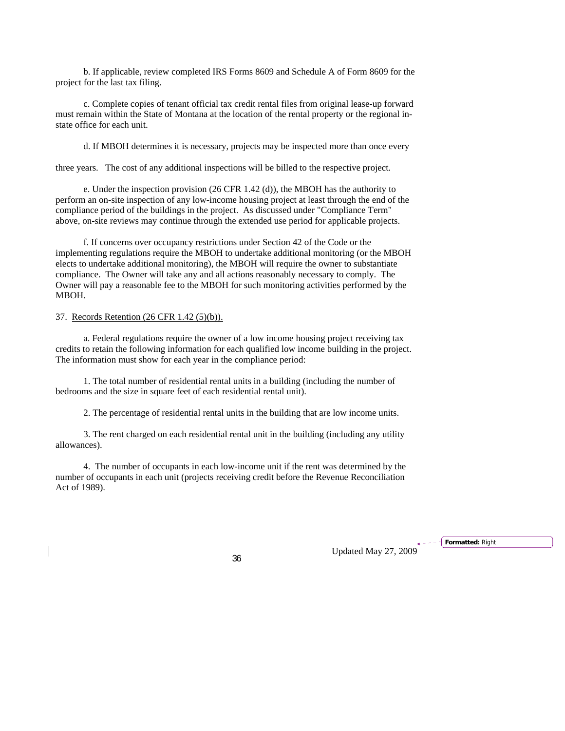b. If applicable, review completed IRS Forms 8609 and Schedule A of Form 8609 for the project for the last tax filing.

 c. Complete copies of tenant official tax credit rental files from original lease-up forward must remain within the State of Montana at the location of the rental property or the regional instate office for each unit.

d. If MBOH determines it is necessary, projects may be inspected more than once every

three years. The cost of any additional inspections will be billed to the respective project.

e. Under the inspection provision (26 CFR 1.42 (d)), the MBOH has the authority to perform an on-site inspection of any low-income housing project at least through the end of the compliance period of the buildings in the project. As discussed under "Compliance Term" above, on-site reviews may continue through the extended use period for applicable projects.

f. If concerns over occupancy restrictions under Section 42 of the Code or the implementing regulations require the MBOH to undertake additional monitoring (or the MBOH elects to undertake additional monitoring), the MBOH will require the owner to substantiate compliance. The Owner will take any and all actions reasonably necessary to comply. The Owner will pay a reasonable fee to the MBOH for such monitoring activities performed by the MBOH.

#### 37. Records Retention (26 CFR 1.42 (5)(b)).

a. Federal regulations require the owner of a low income housing project receiving tax credits to retain the following information for each qualified low income building in the project. The information must show for each year in the compliance period:

1. The total number of residential rental units in a building (including the number of bedrooms and the size in square feet of each residential rental unit).

2. The percentage of residential rental units in the building that are low income units.

3. The rent charged on each residential rental unit in the building (including any utility allowances).

4. The number of occupants in each low-income unit if the rent was determined by the number of occupants in each unit (projects receiving credit before the Revenue Reconciliation Act of 1989).

Updated May 27, 2009 <sup>36</sup>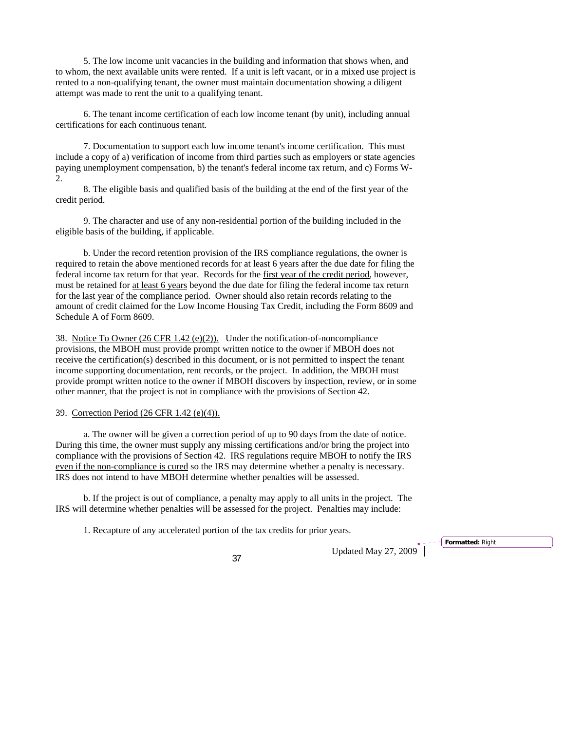5. The low income unit vacancies in the building and information that shows when, and to whom, the next available units were rented. If a unit is left vacant, or in a mixed use project is rented to a non-qualifying tenant, the owner must maintain documentation showing a diligent attempt was made to rent the unit to a qualifying tenant.

6. The tenant income certification of each low income tenant (by unit), including annual certifications for each continuous tenant.

7. Documentation to support each low income tenant's income certification. This must include a copy of a) verification of income from third parties such as employers or state agencies paying unemployment compensation, b) the tenant's federal income tax return, and c) Forms W-2.

8. The eligible basis and qualified basis of the building at the end of the first year of the credit period.

9. The character and use of any non-residential portion of the building included in the eligible basis of the building, if applicable.

b. Under the record retention provision of the IRS compliance regulations, the owner is required to retain the above mentioned records for at least 6 years after the due date for filing the federal income tax return for that year. Records for the first year of the credit period, however, must be retained for at least 6 years beyond the due date for filing the federal income tax return for the last year of the compliance period. Owner should also retain records relating to the amount of credit claimed for the Low Income Housing Tax Credit, including the Form 8609 and Schedule A of Form 8609.

38. Notice To Owner (26 CFR 1.42 (e)(2)). Under the notification-of-noncompliance provisions, the MBOH must provide prompt written notice to the owner if MBOH does not receive the certification(s) described in this document, or is not permitted to inspect the tenant income supporting documentation, rent records, or the project. In addition, the MBOH must provide prompt written notice to the owner if MBOH discovers by inspection, review, or in some other manner, that the project is not in compliance with the provisions of Section 42.

39. Correction Period (26 CFR 1.42 (e)(4)).

a. The owner will be given a correction period of up to 90 days from the date of notice. During this time, the owner must supply any missing certifications and/or bring the project into compliance with the provisions of Section 42. IRS regulations require MBOH to notify the IRS even if the non-compliance is cured so the IRS may determine whether a penalty is necessary. IRS does not intend to have MBOH determine whether penalties will be assessed.

b. If the project is out of compliance, a penalty may apply to all units in the project. The IRS will determine whether penalties will be assessed for the project. Penalties may include:

1. Recapture of any accelerated portion of the tax credits for prior years.

Updated May 27, 2009 <sup>37</sup>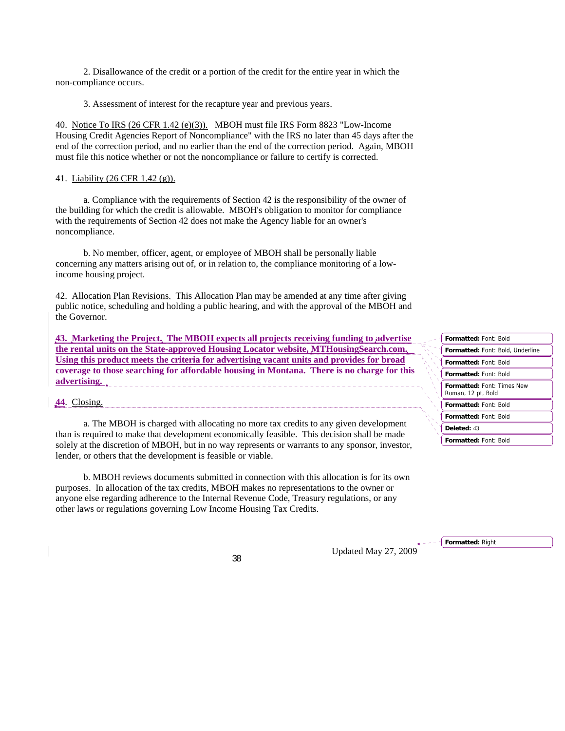2. Disallowance of the credit or a portion of the credit for the entire year in which the non-compliance occurs.

3. Assessment of interest for the recapture year and previous years.

40. Notice To IRS (26 CFR 1.42 (e)(3)). MBOH must file IRS Form 8823 "Low-Income Housing Credit Agencies Report of Noncompliance" with the IRS no later than 45 days after the end of the correction period, and no earlier than the end of the correction period. Again, MBOH must file this notice whether or not the noncompliance or failure to certify is corrected.

#### 41. Liability (26 CFR 1.42 (g)).

a. Compliance with the requirements of Section 42 is the responsibility of the owner of the building for which the credit is allowable. MBOH's obligation to monitor for compliance with the requirements of Section 42 does not make the Agency liable for an owner's noncompliance.

b. No member, officer, agent, or employee of MBOH shall be personally liable concerning any matters arising out of, or in relation to, the compliance monitoring of a lowincome housing project.

42. Allocation Plan Revisions.This Allocation Plan may be amended at any time after giving public notice, scheduling and holding a public hearing, and with the approval of the MBOH and the Governor.

**43. Marketing the Project. The MBOH expects all projects receiving funding to advertise the rental units on the State-approved Housing Locator website, MTHousingSearch.com. Using this product meets the criteria for advertising vacant units and provides for broad coverage to those searching for affordable housing in Montana. There is no charge for this advertising.** 

**44**. Closing.

a. The MBOH is charged with allocating no more tax credits to any given development than is required to make that development economically feasible. This decision shall be made solely at the discretion of MBOH, but in no way represents or warrants to any sponsor, investor, lender, or others that the development is feasible or viable.

b. MBOH reviews documents submitted in connection with this allocation is for its own purposes. In allocation of the tax credits, MBOH makes no representations to the owner or anyone else regarding adherence to the Internal Revenue Code, Treasury regulations, or any other laws or regulations governing Low Income Housing Tax Credits.

| <b>Formatted: Font: Bold</b>                            |
|---------------------------------------------------------|
| Formatted: Font: Bold, Underline                        |
| <b>Formatted: Font: Bold</b>                            |
| <b>Formatted: Font: Bold</b>                            |
| <b>Formatted: Font: Times New</b><br>Roman, 12 pt, Bold |
| <b>Formatted: Font: Bold</b>                            |
| <b>Formatted: Font: Bold</b>                            |
| Deleted: 43                                             |
| <b>Formatted: Font: Bold</b>                            |

**Formatted:** Right

Updated May 27, 2009 <sup>38</sup>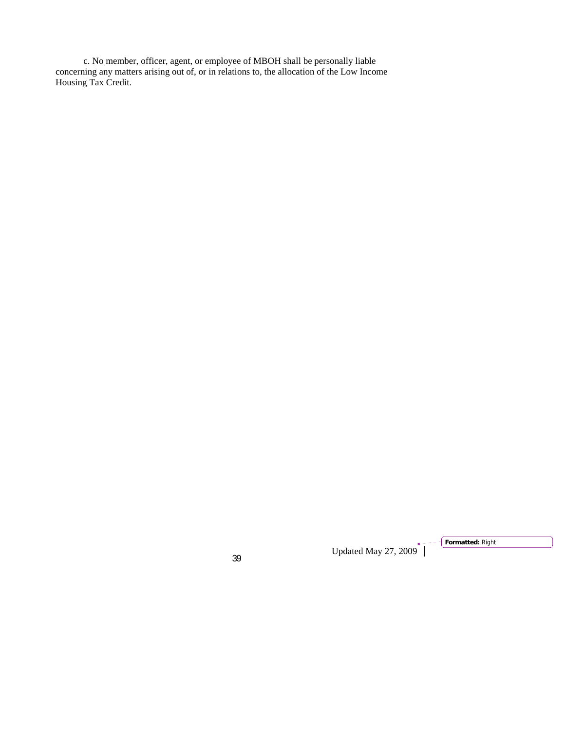c. No member, officer, agent, or employee of MBOH shall be personally liable concerning any matters arising out of, or in relations to, the allocation of the Low Income Housing Tax Credit.

Updated May 27, 2009 <sup>39</sup>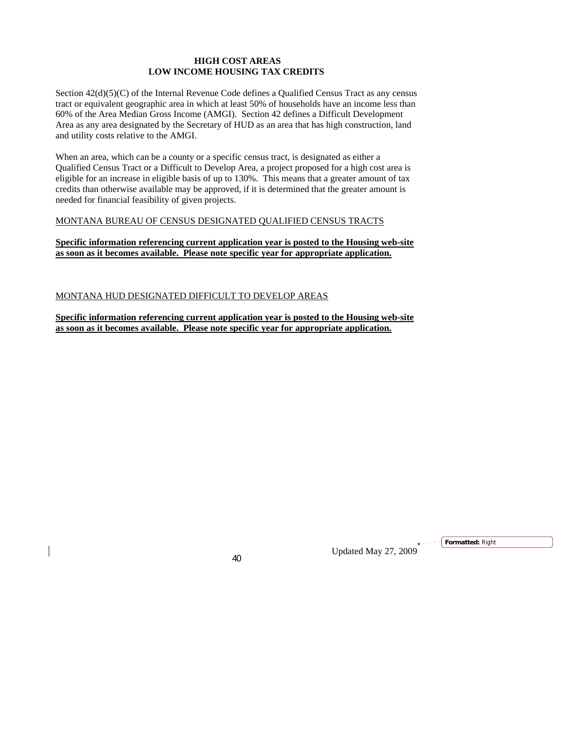# **HIGH COST AREAS LOW INCOME HOUSING TAX CREDITS**

Section  $42(d)(5)(C)$  of the Internal Revenue Code defines a Qualified Census Tract as any census tract or equivalent geographic area in which at least 50% of households have an income less than 60% of the Area Median Gross Income (AMGI). Section 42 defines a Difficult Development Area as any area designated by the Secretary of HUD as an area that has high construction, land and utility costs relative to the AMGI.

When an area, which can be a county or a specific census tract, is designated as either a Qualified Census Tract or a Difficult to Develop Area, a project proposed for a high cost area is eligible for an increase in eligible basis of up to 130%. This means that a greater amount of tax credits than otherwise available may be approved, if it is determined that the greater amount is needed for financial feasibility of given projects.

#### MONTANA BUREAU OF CENSUS DESIGNATED QUALIFIED CENSUS TRACTS

## **Specific information referencing current application year is posted to the Housing web-site as soon as it becomes available. Please note specific year for appropriate application.**

# MONTANA HUD DESIGNATED DIFFICULT TO DEVELOP AREAS

**Specific information referencing current application year is posted to the Housing web-site as soon as it becomes available. Please note specific year for appropriate application.**

Updated May 27, 2009 <sup>40</sup>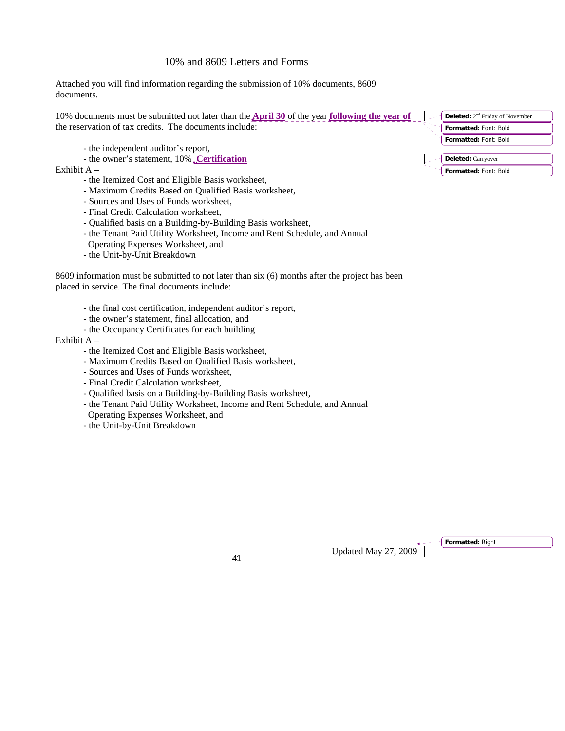# 10% and 8609 Letters and Forms

Attached you will find information regarding the submission of 10% documents, 8609 documents.

| 10% documents must be submitted not later than the $\Delta \text{pril } 30$ of the year following the year of<br>the reservation of tax credits. The documents include: | <b>Deleted:</b> $2nd$ Friday of November<br>Formatted: Font: Bold<br>Formatted: Font: Bold |
|-------------------------------------------------------------------------------------------------------------------------------------------------------------------------|--------------------------------------------------------------------------------------------|
| - the independent auditor's report,                                                                                                                                     |                                                                                            |
| - the owner's statement, 10% Certification                                                                                                                              | <b>Deleted:</b> Carryover                                                                  |
| Exhibit $A -$                                                                                                                                                           | Formatted: Font: Bold                                                                      |

- the Itemized Cost and Eligible Basis worksheet,
- Maximum Credits Based on Qualified Basis worksheet,
- Sources and Uses of Funds worksheet,
- Final Credit Calculation worksheet,
- Qualified basis on a Building-by-Building Basis worksheet,
- the Tenant Paid Utility Worksheet, Income and Rent Schedule, and Annual
- Operating Expenses Worksheet, and
- the Unit-by-Unit Breakdown

8609 information must be submitted to not later than six (6) months after the project has been placed in service. The final documents include:

- the final cost certification, independent auditor's report,
- the owner's statement, final allocation, and
- the Occupancy Certificates for each building

#### Exhibit A –

- the Itemized Cost and Eligible Basis worksheet,
- Maximum Credits Based on Qualified Basis worksheet,
- Sources and Uses of Funds worksheet,
- Final Credit Calculation worksheet,
- Qualified basis on a Building-by-Building Basis worksheet,
- the Tenant Paid Utility Worksheet, Income and Rent Schedule, and Annual

Operating Expenses Worksheet, and

- the Unit-by-Unit Breakdown

Updated May 27, 2009 <sup>41</sup>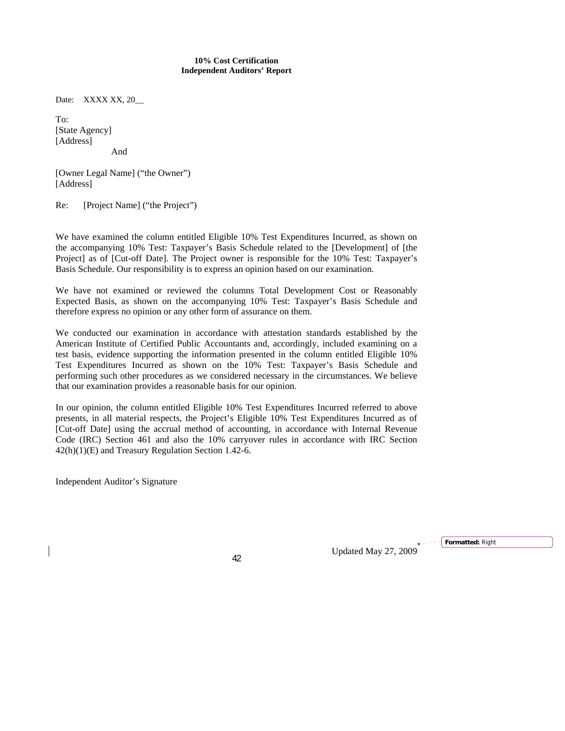#### **10% Cost Certification Independent Auditors' Report**

Date: XXXX XX, 20

To: [State Agency] [Address] And

[Owner Legal Name] ("the Owner") [Address]

Re: [Project Name] ("the Project")

We have examined the column entitled Eligible 10% Test Expenditures Incurred, as shown on the accompanying 10% Test: Taxpayer's Basis Schedule related to the [Development] of [the Project] as of [Cut-off Date]. The Project owner is responsible for the 10% Test: Taxpayer's Basis Schedule. Our responsibility is to express an opinion based on our examination.

We have not examined or reviewed the columns Total Development Cost or Reasonably Expected Basis, as shown on the accompanying 10% Test: Taxpayer's Basis Schedule and therefore express no opinion or any other form of assurance on them.

We conducted our examination in accordance with attestation standards established by the American Institute of Certified Public Accountants and, accordingly, included examining on a test basis, evidence supporting the information presented in the column entitled Eligible 10% Test Expenditures Incurred as shown on the 10% Test: Taxpayer's Basis Schedule and performing such other procedures as we considered necessary in the circumstances. We believe that our examination provides a reasonable basis for our opinion.

In our opinion, the column entitled Eligible 10% Test Expenditures Incurred referred to above presents, in all material respects, the Project's Eligible 10% Test Expenditures Incurred as of [Cut-off Date] using the accrual method of accounting, in accordance with Internal Revenue Code (IRC) Section 461 and also the 10% carryover rules in accordance with IRC Section 42(h)(1)(E) and Treasury Regulation Section 1.42-6.

Independent Auditor's Signature

Updated May 27, 2009 <sup>42</sup>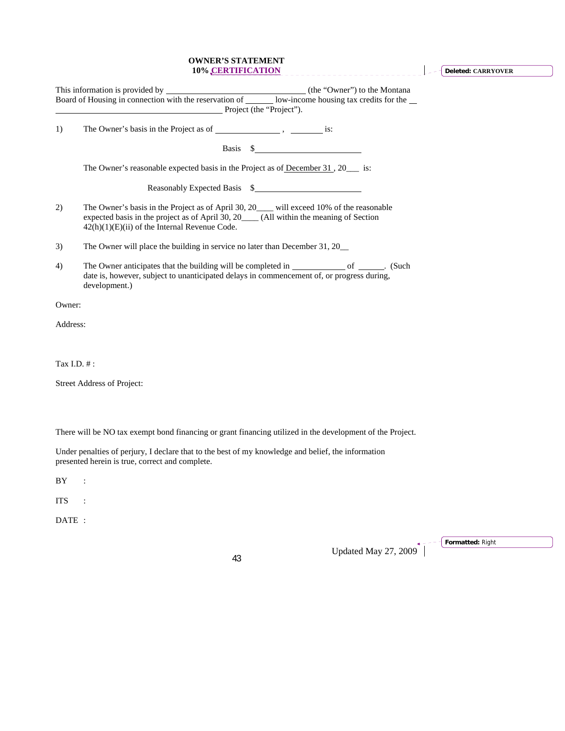#### **OWNER'S STATEMENT 10% CERTIFICATION**

**Deleted: CARRYOVER**

|             | Project (the "Project").                                                                                                                                                                                                               |
|-------------|----------------------------------------------------------------------------------------------------------------------------------------------------------------------------------------------------------------------------------------|
| 1)          |                                                                                                                                                                                                                                        |
|             |                                                                                                                                                                                                                                        |
|             | The Owner's reasonable expected basis in the Project as of December 31, 20 is:                                                                                                                                                         |
|             | Reasonably Expected Basis \$                                                                                                                                                                                                           |
| 2)          | The Owner's basis in the Project as of April 30, 20___ will exceed 10% of the reasonable<br>expected basis in the project as of April 30, 20____ (All within the meaning of Section<br>$42(h)(1)(E)(ii)$ of the Internal Revenue Code. |
| 3)          | The Owner will place the building in service no later than December 31, 20                                                                                                                                                             |
| 4)          | The Owner anticipates that the building will be completed in ____________________ of ________. (Such<br>date is, however, subject to unanticipated delays in commencement of, or progress during,<br>development.)                     |
| Owner:      |                                                                                                                                                                                                                                        |
| Address:    |                                                                                                                                                                                                                                        |
|             |                                                                                                                                                                                                                                        |
| Tax I.D. #: |                                                                                                                                                                                                                                        |
|             | Street Address of Project:                                                                                                                                                                                                             |
|             |                                                                                                                                                                                                                                        |
|             |                                                                                                                                                                                                                                        |
|             | There will be NO tax exempt bond financing or grant financing utilized in the development of the Project.                                                                                                                              |
|             | Under penalties of perjury, I declare that to the best of my knowledge and belief, the information<br>presented herein is true, correct and complete.                                                                                  |

 ${\rm BY} \qquad :$ 

ITS :

DATE :

Updated May 27, 2009

**Formatted:** Right

L,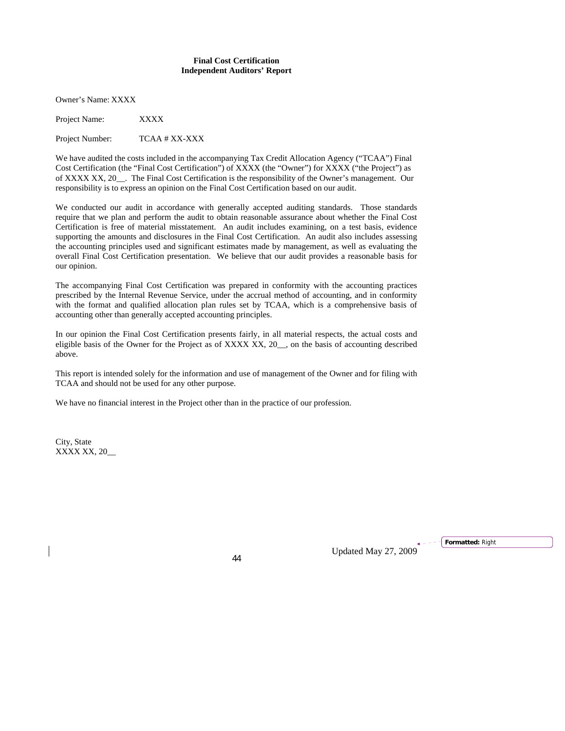#### **Final Cost Certification Independent Auditors' Report**

Owner's Name: XXXX

Project Name: XXXX

Project Number: TCAA # XX-XXX

We have audited the costs included in the accompanying Tax Credit Allocation Agency ("TCAA") Final Cost Certification (the "Final Cost Certification") of XXXX (the "Owner") for XXXX ("the Project") as of XXXX XX, 20\_\_. The Final Cost Certification is the responsibility of the Owner's management. Our responsibility is to express an opinion on the Final Cost Certification based on our audit.

We conducted our audit in accordance with generally accepted auditing standards. Those standards require that we plan and perform the audit to obtain reasonable assurance about whether the Final Cost Certification is free of material misstatement. An audit includes examining, on a test basis, evidence supporting the amounts and disclosures in the Final Cost Certification. An audit also includes assessing the accounting principles used and significant estimates made by management, as well as evaluating the overall Final Cost Certification presentation. We believe that our audit provides a reasonable basis for our opinion.

The accompanying Final Cost Certification was prepared in conformity with the accounting practices prescribed by the Internal Revenue Service, under the accrual method of accounting, and in conformity with the format and qualified allocation plan rules set by TCAA, which is a comprehensive basis of accounting other than generally accepted accounting principles.

In our opinion the Final Cost Certification presents fairly, in all material respects, the actual costs and eligible basis of the Owner for the Project as of XXXX XX, 20\_\_, on the basis of accounting described above.

This report is intended solely for the information and use of management of the Owner and for filing with TCAA and should not be used for any other purpose.

We have no financial interest in the Project other than in the practice of our profession.

City, State XXXX XX, 20\_\_

Updated May 27, 2009 <sup>44</sup>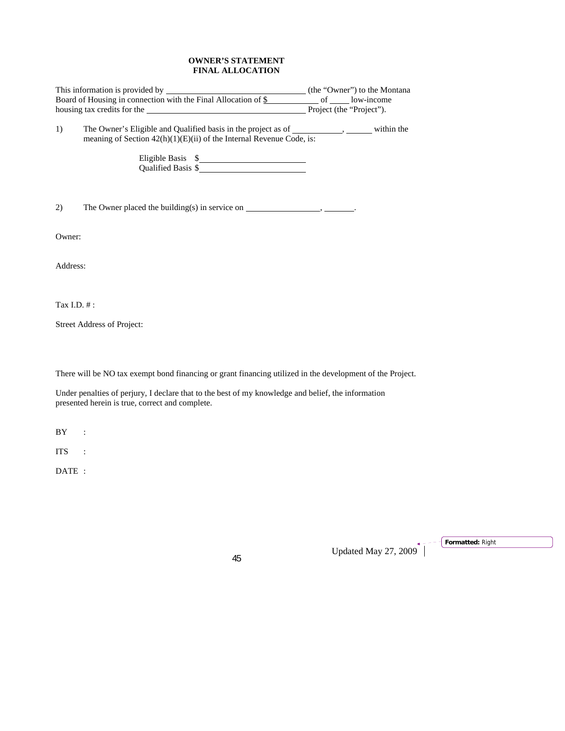# **OWNER'S STATEMENT FINAL ALLOCATION**

| This information is provided by <b>Alternation</b> (the "Owner") to the Montana |                                                                                                                                                                                                                     |  |  |  |  |
|---------------------------------------------------------------------------------|---------------------------------------------------------------------------------------------------------------------------------------------------------------------------------------------------------------------|--|--|--|--|
|                                                                                 | housing tax credits for the same service of the service of the "Project".                                                                                                                                           |  |  |  |  |
| 1)                                                                              | The Owner's Eligible and Qualified basis in the project as of ____________, _______ within the<br>meaning of Section $42(h)(1)(E)(ii)$ of the Internal Revenue Code, is:<br>Eligible Basis \$<br>Qualified Basis \$ |  |  |  |  |
| 2)                                                                              | The Owner placed the building(s) in service on $\_\_\_\_\_\_\_\_\_\_\_\_\_\_\_\_\_\_\_\_\_\_\_\_\_\_\_\_\_\_\_$                                                                                                     |  |  |  |  |
| Owner:                                                                          |                                                                                                                                                                                                                     |  |  |  |  |
| Address:                                                                        |                                                                                                                                                                                                                     |  |  |  |  |
| Tax I.D. $#$ :                                                                  |                                                                                                                                                                                                                     |  |  |  |  |
|                                                                                 | Street Address of Project:                                                                                                                                                                                          |  |  |  |  |

There will be NO tax exempt bond financing or grant financing utilized in the development of the Project.

Under penalties of perjury, I declare that to the best of my knowledge and belief, the information presented herein is true, correct and complete.

BY :

ITS :

DATE :

Updated May 27, 2009 <sup>45</sup>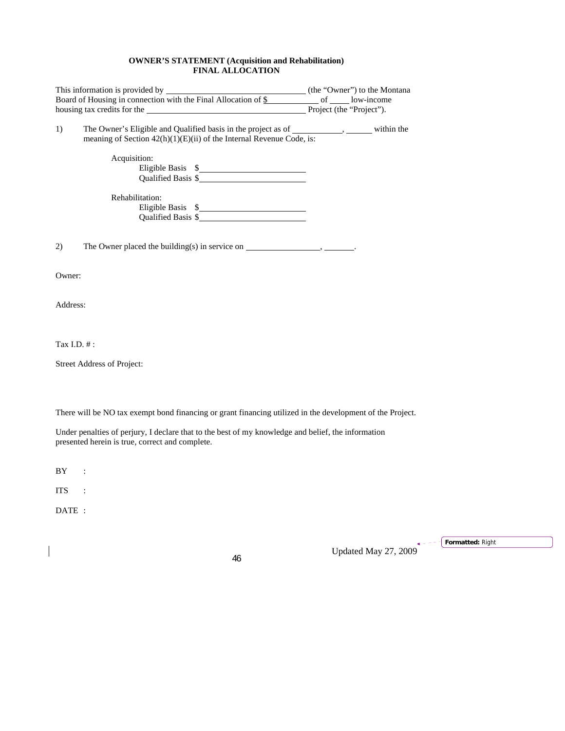#### **OWNER'S STATEMENT (Acquisition and Rehabilitation) FINAL ALLOCATION**

| Board of Housing in connection with the Final Allocation of $\frac{1}{2}$ of ____________ low-income |                                                                                                                                                                        |  |
|------------------------------------------------------------------------------------------------------|------------------------------------------------------------------------------------------------------------------------------------------------------------------------|--|
|                                                                                                      |                                                                                                                                                                        |  |
| 1)                                                                                                   | The Owner's Eligible and Qualified basis in the project as of ___________, ______ within the<br>meaning of Section $42(h)(1)(E)(ii)$ of the Internal Revenue Code, is: |  |
|                                                                                                      | Acquisition:<br>Eligible Basis \$<br>Qualified Basis \$                                                                                                                |  |
|                                                                                                      | Rehabilitation:                                                                                                                                                        |  |
| 2)                                                                                                   |                                                                                                                                                                        |  |
| Owner:                                                                                               |                                                                                                                                                                        |  |
| Address:                                                                                             |                                                                                                                                                                        |  |
| Tax I.D. #:                                                                                          |                                                                                                                                                                        |  |
|                                                                                                      | Street Address of Project:                                                                                                                                             |  |
|                                                                                                      |                                                                                                                                                                        |  |
|                                                                                                      | There will be NO tax exempt bond financing or grant financing utilized in the development of the Project.                                                              |  |
|                                                                                                      | Under penalties of perjury, I declare that to the best of my knowledge and belief, the information<br>presented herein is true, correct and complete.                  |  |
| BY                                                                                                   | $\ddot{\cdot}$                                                                                                                                                         |  |
| <b>ITS</b>                                                                                           |                                                                                                                                                                        |  |

DATE :

 $\begin{array}{c} \hline \end{array}$ 

Updated May 27, 2009 <sup>46</sup> **Formatted:** Right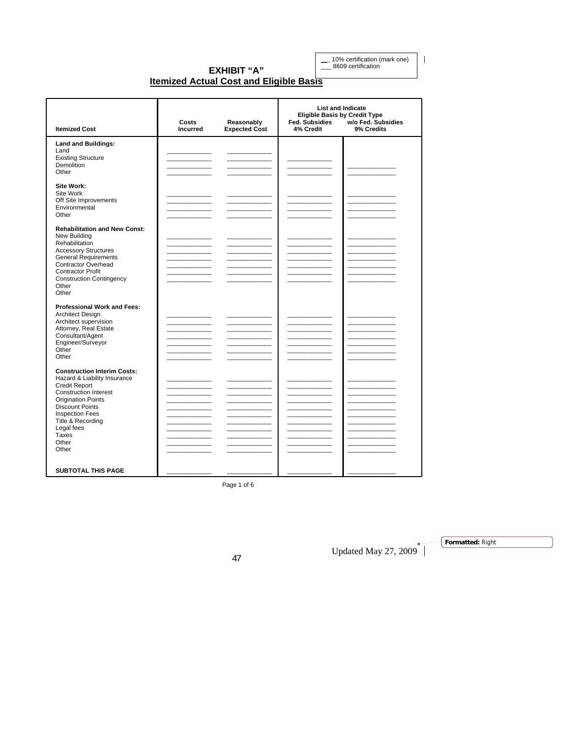\_\_\_ 10% certification (mark one) \_\_\_ 8609 certification

 $\begin{array}{c} \hline \end{array}$ 

#### **EXHIBIT "A" Itemized Actual Cost and Eligible Basis**

| <b>Itemized Cost</b>                                                                                                                                                                                                                                                      | Costs<br><b>Incurred</b> | Reasonably<br><b>Expected Cost</b> | <b>Eligible Basis by Credit Type</b><br><b>Fed. Subsidies</b><br>4% Credit | <b>List and Indicate</b><br>w/o Fed. Subsidies<br>9% Credits |
|---------------------------------------------------------------------------------------------------------------------------------------------------------------------------------------------------------------------------------------------------------------------------|--------------------------|------------------------------------|----------------------------------------------------------------------------|--------------------------------------------------------------|
| <b>Land and Buildings:</b><br>Land<br><b>Existing Structure</b><br><b>Demolition</b><br>Other                                                                                                                                                                             |                          |                                    |                                                                            |                                                              |
| Site Work:<br>Site Work<br>Off Site Improvements<br>Environmental<br>Other                                                                                                                                                                                                |                          |                                    |                                                                            |                                                              |
| <b>Rehabilitation and New Const:</b><br>New Building<br>Rehabilitation<br><b>Accessory Structures</b><br><b>General Requirements</b><br><b>Contractor Overhead</b><br><b>Contractor Profit</b><br><b>Construction Contingency</b><br>Other<br>Other                       |                          | <u> 1999 - Johann John</u>         | <u> Tanzania (</u>                                                         |                                                              |
| <b>Professional Work and Fees:</b><br><b>Architect Design</b><br>Architect supervision<br>Attorney, Real Estate<br>Consultant/Agent<br>Engineer/Surveyor<br>Other<br>Other                                                                                                |                          |                                    |                                                                            |                                                              |
| <b>Construction Interim Costs:</b><br>Hazard & Liability Insurance<br><b>Credit Report</b><br><b>Construction Interest</b><br><b>Origination Points</b><br><b>Discount Points</b><br><b>Inspection Fees</b><br>Title & Recording<br>Legal fees<br>Taxes<br>Other<br>Other |                          |                                    |                                                                            |                                                              |
| <b>SUBTOTAL THIS PAGE</b>                                                                                                                                                                                                                                                 |                          |                                    |                                                                            |                                                              |

Page 1 of 6

Updated May 27, 2009<sup>+</sup>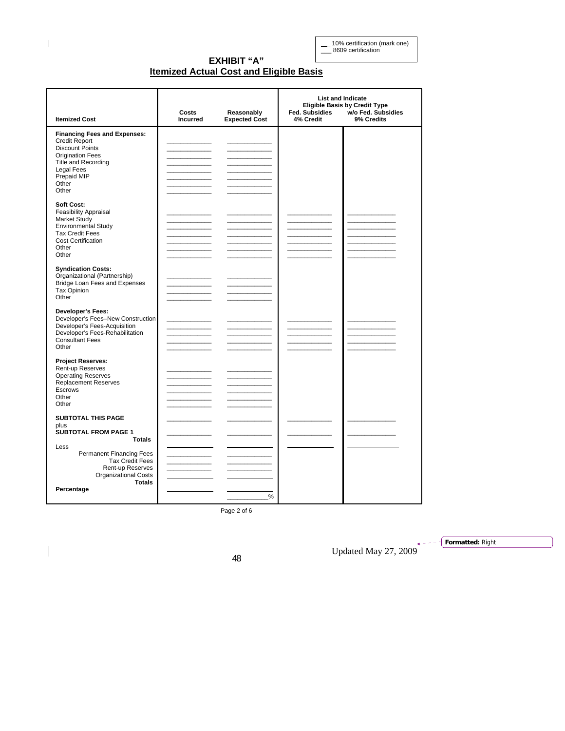\_\_\_ 10% certification (mark one) \_\_\_ 8609 certification

# **EXHIBIT "A" Itemized Actual Cost and Eligible Basis**

| <b>Itemized Cost</b>                                                                                                                                                                          | Costs<br><b>Incurred</b>                    | Reasonably<br><b>Expected Cost</b>                                                                                   | Fed. Subsidies<br>4% Credit | <b>List and Indicate</b><br><b>Eligible Basis by Credit Type</b><br>w/o Fed. Subsidies<br>9% Credits |
|-----------------------------------------------------------------------------------------------------------------------------------------------------------------------------------------------|---------------------------------------------|----------------------------------------------------------------------------------------------------------------------|-----------------------------|------------------------------------------------------------------------------------------------------|
| <b>Financing Fees and Expenses:</b><br><b>Credit Report</b><br><b>Discount Points</b><br><b>Origination Fees</b><br><b>Title and Recording</b><br>Legal Fees<br>Prepaid MIP<br>Other<br>Other | the company of the company                  | <u> 1989 - Jan Jawa Barat, prima prima prima prima prima prima prima prima prima prima prima prima prima prima p</u> |                             |                                                                                                      |
| Soft Cost:<br><b>Feasibility Appraisal</b><br>Market Study<br><b>Environmental Study</b><br><b>Tax Credit Fees</b><br>Cost Certification<br>Other<br>Other                                    |                                             | <u> 1999 - Johann John Barns</u>                                                                                     |                             |                                                                                                      |
| <b>Syndication Costs:</b><br>Organizational (Partnership)<br>Bridge Loan Fees and Expenses<br><b>Tax Opinion</b><br>Other                                                                     |                                             |                                                                                                                      |                             |                                                                                                      |
| <b>Developer's Fees:</b><br>Developer's Fees-New Construction<br>Developer's Fees-Acquisition<br>Developer's Fees-Rehabilitation<br><b>Consultant Fees</b><br>Other                           | <u> 1989 - Johann Barnett, fransk konge</u> |                                                                                                                      |                             |                                                                                                      |
| <b>Project Reserves:</b><br>Rent-up Reserves<br><b>Operating Reserves</b><br><b>Replacement Reserves</b><br>Escrows<br>Other<br>Other                                                         |                                             | <u> 1989 - Jan Jawa Barat, prima prima prima prima prima prima prima prima prima prima prima prima prima prima p</u> |                             |                                                                                                      |
| <b>SUBTOTAL THIS PAGE</b><br>plus<br><b>SUBTOTAL FROM PAGE 1</b><br><b>Totals</b>                                                                                                             |                                             |                                                                                                                      |                             |                                                                                                      |
| Less<br><b>Permanent Financing Fees</b><br><b>Tax Credit Fees</b><br>Rent-up Reserves<br>Organizational Costs<br><b>Totals</b><br>Percentage                                                  |                                             | %                                                                                                                    |                             |                                                                                                      |

Page 2 of 6

Updated May 27, 2009 <sup>48</sup>

**Formatted:** Right

L.

 $\overline{\phantom{a}}$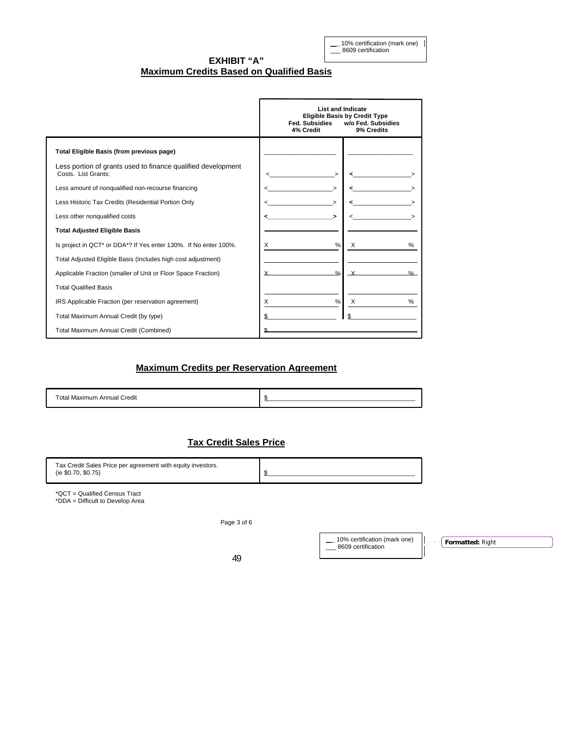\_\_\_ 10% certification (mark one)  $\frac{1}{2}$  8609 certification

**EXHIBIT "A" Maximum Credits Based on Qualified Basis**

|                                                                                     | <b>List and Indicate</b><br><b>Fed. Subsidies</b><br>4% Credit | <b>Eligible Basis by Credit Type</b><br>w/o Fed. Subsidies<br>9% Credits |
|-------------------------------------------------------------------------------------|----------------------------------------------------------------|--------------------------------------------------------------------------|
| Total Eligible Basis (from previous page)                                           |                                                                |                                                                          |
| Less portion of grants used to finance qualified development<br>Costs. List Grants: |                                                                |                                                                          |
| Less amount of nonqualified non-recourse financing                                  |                                                                |                                                                          |
| Less Historic Tax Credits (Residential Portion Only                                 |                                                                |                                                                          |
| Less other nonqualified costs                                                       |                                                                |                                                                          |
| <b>Total Adjusted Eligible Basis</b>                                                |                                                                |                                                                          |
| Is project in QCT* or DDA*? If Yes enter 130%. If No enter 100%.                    | $\%$<br>X                                                      | $\times$                                                                 |
| Total Adjusted Eligible Basis (Includes high cost adjustment)                       |                                                                |                                                                          |
| Applicable Fraction (smaller of Unit or Floor Space Fraction)                       | $\frac{0}{2}$                                                  | $\frac{0}{0}$                                                            |
| <b>Total Qualified Basis</b>                                                        |                                                                |                                                                          |
| IRS Applicable Fraction (per reservation agreement)                                 | $\%$<br>X                                                      | $\times$<br>%                                                            |
| Total Maximum Annual Credit (by type)                                               |                                                                |                                                                          |
| Total Maximum Annual Credit (Combined)                                              |                                                                |                                                                          |

# **Maximum Credits per Reservation Agreement**

Total Maximum Annual Credit **\$** 

# **Tax Credit Sales Price**

| Tax Credit Sales Price per agreement with equity investors.<br>(ie \$0.70, \$0.75) |  |
|------------------------------------------------------------------------------------|--|
|                                                                                    |  |

\*QCT = Qualified Census Tract \*DDA = Difficult to Develop Area

Page 3 of 6

|    | 10% certification (mark one)<br>8609 certification | <b>T</b> Formatted: Right |
|----|----------------------------------------------------|---------------------------|
| 49 |                                                    |                           |

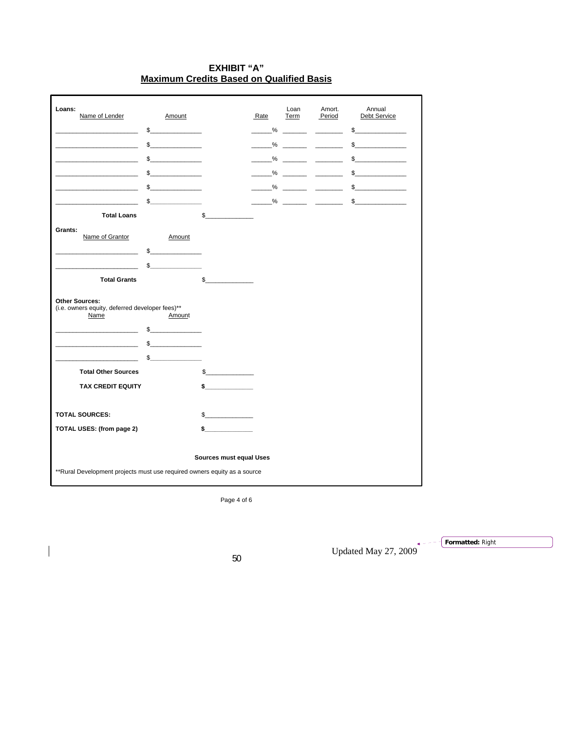# **EXHIBIT "A" Maximum Credits Based on Qualified Basis**

| Loans:<br>Name of Lender                                                 | Amount        |                                          | Rate | Loan<br>Term                | Amort.<br>Period                                                                                                                                                                                                                             | Annual<br><b>Debt Service</b> |
|--------------------------------------------------------------------------|---------------|------------------------------------------|------|-----------------------------|----------------------------------------------------------------------------------------------------------------------------------------------------------------------------------------------------------------------------------------------|-------------------------------|
|                                                                          | $\mathsf{\$}$ |                                          | $\%$ | $\mathcal{L} = \mathcal{L}$ | $\frac{\partial \mathcal{L}_{\mathcal{A}}}{\partial \mathcal{L}_{\mathcal{A}}}\left( \mathcal{L}_{\mathcal{A}}\right) =\frac{\partial \mathcal{L}_{\mathcal{A}}}{\partial \mathcal{L}_{\mathcal{A}}}\left( \mathcal{L}_{\mathcal{A}}\right)$ | \$                            |
|                                                                          | $\sim$        |                                          | %    |                             |                                                                                                                                                                                                                                              | $\sim$                        |
|                                                                          | $\sim$        |                                          | %    |                             |                                                                                                                                                                                                                                              | $\sim$                        |
|                                                                          | $\mathbb{S}$  |                                          | %    |                             | <u> 1999 - Johann Barnett, p</u>                                                                                                                                                                                                             | $\sim$                        |
| the control of the control of the control of                             | $\sim$        |                                          |      |                             |                                                                                                                                                                                                                                              | $\frac{1}{2}$                 |
|                                                                          | $\sim$        |                                          |      |                             |                                                                                                                                                                                                                                              | $\mathbb{S}$                  |
| <b>Total Loans</b>                                                       |               | \$                                       |      |                             |                                                                                                                                                                                                                                              |                               |
| Grants:                                                                  |               |                                          |      |                             |                                                                                                                                                                                                                                              |                               |
| Name of Grantor                                                          | Amount<br>\$  |                                          |      |                             |                                                                                                                                                                                                                                              |                               |
|                                                                          | $\mathbb{S}$  |                                          |      |                             |                                                                                                                                                                                                                                              |                               |
| <b>Total Grants</b>                                                      |               | $\mathbb{S}$<br><b>Contract Contract</b> |      |                             |                                                                                                                                                                                                                                              |                               |
|                                                                          |               |                                          |      |                             |                                                                                                                                                                                                                                              |                               |
| <b>Other Sources:</b><br>(i.e. owners equity, deferred developer fees)** |               |                                          |      |                             |                                                                                                                                                                                                                                              |                               |
| Name                                                                     | Amount        |                                          |      |                             |                                                                                                                                                                                                                                              |                               |
|                                                                          | $\mathbb{S}$  |                                          |      |                             |                                                                                                                                                                                                                                              |                               |
|                                                                          | $\sim$        |                                          |      |                             |                                                                                                                                                                                                                                              |                               |
|                                                                          | $\mathbb{S}$  |                                          |      |                             |                                                                                                                                                                                                                                              |                               |
| <b>Total Other Sources</b>                                               |               | $\frac{1}{2}$                            |      |                             |                                                                                                                                                                                                                                              |                               |
| <b>TAX CREDIT EQUITY</b>                                                 |               | $\sim$                                   |      |                             |                                                                                                                                                                                                                                              |                               |
|                                                                          |               |                                          |      |                             |                                                                                                                                                                                                                                              |                               |
| <b>TOTAL SOURCES:</b>                                                    |               | $\sim$                                   |      |                             |                                                                                                                                                                                                                                              |                               |
| TOTAL USES: (from page 2)                                                |               | \$                                       |      |                             |                                                                                                                                                                                                                                              |                               |
|                                                                          |               | Sources must equal Uses                  |      |                             |                                                                                                                                                                                                                                              |                               |
|                                                                          |               |                                          |      |                             |                                                                                                                                                                                                                                              |                               |

Page 4 of 6

Updated May 27,  $2009$ <sup> $\star$ </sup>

**Formatted:** Right

 $\overline{\phantom{a}}$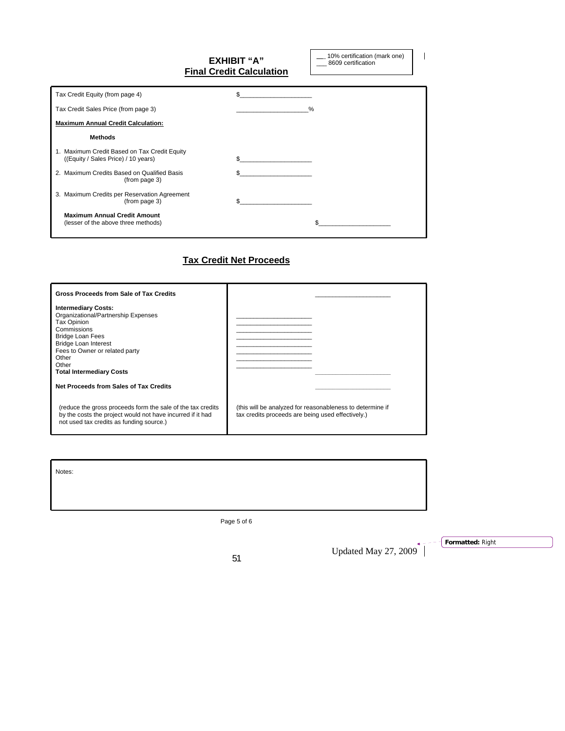|                                                                                     | EXHIBIT "A"<br><b>Final Credit Calculation</b> | 10% certification (mark one)<br>8609 certification |
|-------------------------------------------------------------------------------------|------------------------------------------------|----------------------------------------------------|
| Tax Credit Equity (from page 4)                                                     | \$                                             |                                                    |
| Tax Credit Sales Price (from page 3)                                                |                                                | $\%$                                               |
| <b>Maximum Annual Credit Calculation:</b>                                           |                                                |                                                    |
| <b>Methods</b>                                                                      |                                                |                                                    |
| 1. Maximum Credit Based on Tax Credit Equity<br>((Equity / Sales Price) / 10 years) | \$                                             |                                                    |
| 2. Maximum Credits Based on Qualified Basis<br>(from page 3)                        | \$                                             |                                                    |
| 3. Maximum Credits per Reservation Agreement<br>(from page 3)                       |                                                |                                                    |
| <b>Maximum Annual Credit Amount</b><br>(lesser of the above three methods)          |                                                |                                                    |

# **Tax Credit Net Proceeds**

| <b>Gross Proceeds from Sale of Tax Credits</b>                                                                                                                                                                                                   |                                                                                                                |
|--------------------------------------------------------------------------------------------------------------------------------------------------------------------------------------------------------------------------------------------------|----------------------------------------------------------------------------------------------------------------|
| <b>Intermediary Costs:</b><br>Organizational/Partnership Expenses<br>Tax Opinion<br>Commissions<br><b>Bridge Loan Fees</b><br><b>Bridge Loan Interest</b><br>Fees to Owner or related party<br>Other<br>Other<br><b>Total Intermediary Costs</b> |                                                                                                                |
| Net Proceeds from Sales of Tax Credits                                                                                                                                                                                                           |                                                                                                                |
| (reduce the gross proceeds form the sale of the tax credits<br>by the costs the project would not have incurred if it had<br>not used tax credits as funding source.)                                                                            | (this will be analyzed for reasonableness to determine if<br>tax credits proceeds are being used effectively.) |

Notes:

Ï

Page 5 of 6

Updated May 27, 2009  $\overline{)}$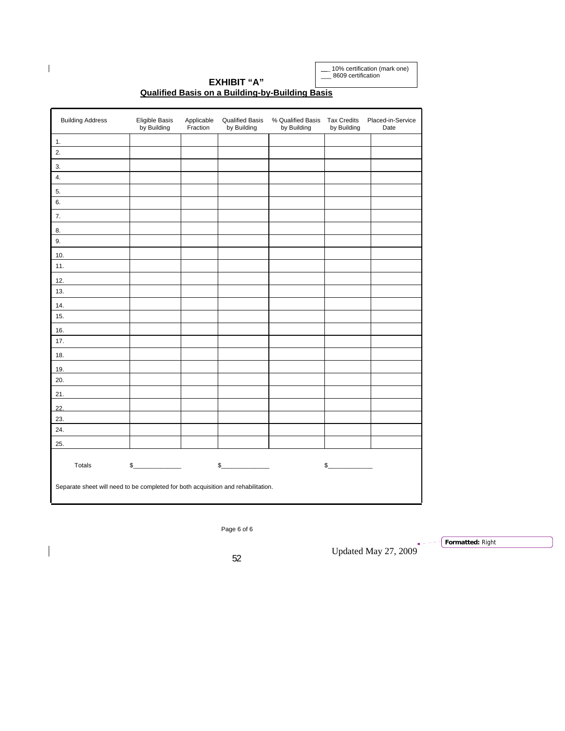\_\_\_ 10% certification (mark one) \_\_\_ 8609 certification

| <b>Building Address</b>                                                           | Eligible Basis<br>by Building | Applicable<br>Fraction | <b>Qualified Basis</b><br>by Building | % Qualified Basis<br>by Building | <b>Tax Credits</b><br>by Building | Placed-in-Service<br>Date |
|-----------------------------------------------------------------------------------|-------------------------------|------------------------|---------------------------------------|----------------------------------|-----------------------------------|---------------------------|
| 1.                                                                                |                               |                        |                                       |                                  |                                   |                           |
| 2.                                                                                |                               |                        |                                       |                                  |                                   |                           |
| 3.                                                                                |                               |                        |                                       |                                  |                                   |                           |
| 4.                                                                                |                               |                        |                                       |                                  |                                   |                           |
| 5.                                                                                |                               |                        |                                       |                                  |                                   |                           |
| 6.                                                                                |                               |                        |                                       |                                  |                                   |                           |
| 7.                                                                                |                               |                        |                                       |                                  |                                   |                           |
| 8.                                                                                |                               |                        |                                       |                                  |                                   |                           |
| 9.                                                                                |                               |                        |                                       |                                  |                                   |                           |
| 10.                                                                               |                               |                        |                                       |                                  |                                   |                           |
| 11.                                                                               |                               |                        |                                       |                                  |                                   |                           |
| 12.                                                                               |                               |                        |                                       |                                  |                                   |                           |
| 13.                                                                               |                               |                        |                                       |                                  |                                   |                           |
| 14.                                                                               |                               |                        |                                       |                                  |                                   |                           |
| 15.                                                                               |                               |                        |                                       |                                  |                                   |                           |
| 16.                                                                               |                               |                        |                                       |                                  |                                   |                           |
| 17.                                                                               |                               |                        |                                       |                                  |                                   |                           |
| 18.                                                                               |                               |                        |                                       |                                  |                                   |                           |
| 19.                                                                               |                               |                        |                                       |                                  |                                   |                           |
| 20.                                                                               |                               |                        |                                       |                                  |                                   |                           |
| 21.                                                                               |                               |                        |                                       |                                  |                                   |                           |
|                                                                                   |                               |                        |                                       |                                  |                                   |                           |
| 22.<br>23.                                                                        |                               |                        |                                       |                                  |                                   |                           |
| 24.                                                                               |                               |                        |                                       |                                  |                                   |                           |
| 25.                                                                               |                               |                        |                                       |                                  |                                   |                           |
|                                                                                   |                               |                        |                                       |                                  |                                   |                           |
| Totals                                                                            | $\mathsf{s}_-$                |                        | $\frac{1}{2}$                         |                                  | s                                 |                           |
| Separate sheet will need to be completed for both acquisition and rehabilitation. |                               |                        |                                       |                                  |                                   |                           |

#### **EXHIBIT "A" Qualified Basis on a Building-by-Building Basis**

Page 6 of 6

Updated May 27, 2009 <sup>52</sup>

**Formatted:** Right

 $\begin{array}{c} \hline \end{array}$ 

 $\overline{\phantom{a}}$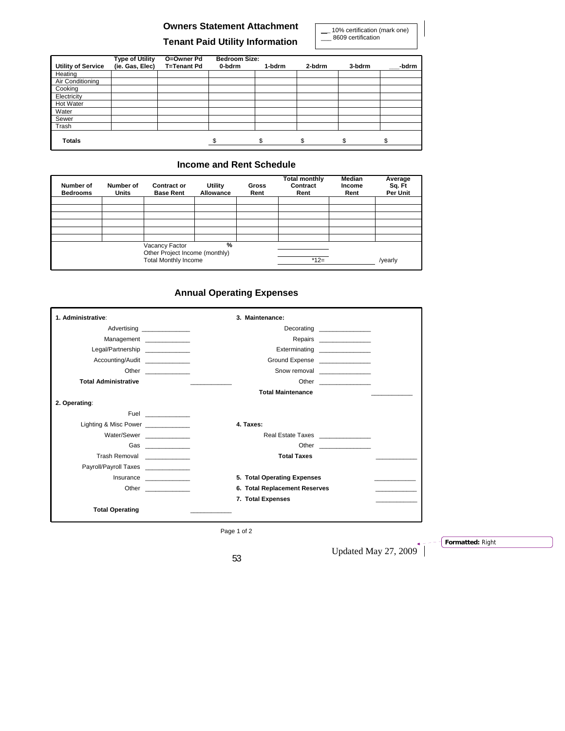# **Owners Statement Attachment Tenant Paid Utility Information**

\_\_\_ 10% certification (mark one) \_\_\_ 8609 certification

|                           | <b>Type of Utility</b> | O=Owner Pd         | <b>Bedroom Size:</b> |        |        |        |       |
|---------------------------|------------------------|--------------------|----------------------|--------|--------|--------|-------|
| <b>Utility of Service</b> | (ie. Gas, Elec)        | <b>T=Tenant Pd</b> | 0-bdrm               | 1-bdrm | 2-bdrm | 3-bdrm | -bdrm |
| Heating                   |                        |                    |                      |        |        |        |       |
| Air Conditioning          |                        |                    |                      |        |        |        |       |
| Cooking                   |                        |                    |                      |        |        |        |       |
| Electricity               |                        |                    |                      |        |        |        |       |
| Hot Water                 |                        |                    |                      |        |        |        |       |
| Water                     |                        |                    |                      |        |        |        |       |
| Sewer                     |                        |                    |                      |        |        |        |       |
| Trash                     |                        |                    |                      |        |        |        |       |
| <b>Totals</b>             |                        |                    |                      | \$     | \$     | \$.    | \$    |

# **Income and Rent Schedule**

| Number of<br><b>Bedrooms</b> | Number of<br><b>Units</b> | <b>Contract or</b><br><b>Base Rent</b>                                          | Utility<br>Allowance | <b>Gross</b><br>Rent | <b>Total monthly</b><br>Contract<br>Rent | <b>Median</b><br>Income<br>Rent | Average<br>Sq. Ft<br>Per Unit |
|------------------------------|---------------------------|---------------------------------------------------------------------------------|----------------------|----------------------|------------------------------------------|---------------------------------|-------------------------------|
|                              |                           |                                                                                 |                      |                      |                                          |                                 |                               |
|                              |                           |                                                                                 |                      |                      |                                          |                                 |                               |
|                              |                           |                                                                                 |                      |                      |                                          |                                 |                               |
|                              |                           |                                                                                 |                      |                      |                                          |                                 |                               |
|                              |                           |                                                                                 |                      |                      |                                          |                                 |                               |
|                              |                           | Vacancy Factor<br>Other Project Income (monthly)<br><b>Total Monthly Income</b> | %                    |                      | $*12=$                                   |                                 | /yearly                       |

# **Annual Operating Expenses**

| 1. Administrative:                  | 3. Maintenance:                                            |
|-------------------------------------|------------------------------------------------------------|
|                                     | Decorating ________________<br>Advertising _______________ |
| Management ______________           | Repairs _________________                                  |
| Legal/Partnership                   | Exterminating ________________                             |
| Accounting/Audit                    | Ground Expense                                             |
|                                     | Other ______________<br>Snow removal _______________       |
| <b>Total Administrative</b>         |                                                            |
|                                     | <b>Total Maintenance</b>                                   |
| 2. Operating:                       |                                                            |
|                                     | Fuel ______________                                        |
| Lighting & Misc Power ____________  | 4. Taxes:                                                  |
| Water/Sewer                         | Real Estate Taxes _______________                          |
|                                     | Gas _______________                                        |
| Trash Removal _____________         | <b>Total Taxes</b>                                         |
| Payroll/Payroll Taxes _____________ |                                                            |
|                                     | 5. Total Operating Expenses<br>Insurance                   |
|                                     | 6. Total Replacement Reserves                              |
|                                     | 7. Total Expenses                                          |
| <b>Total Operating</b>              |                                                            |

Page 1 of 2

Updated May 27,  $2009$ <sup> $*$ </sup>